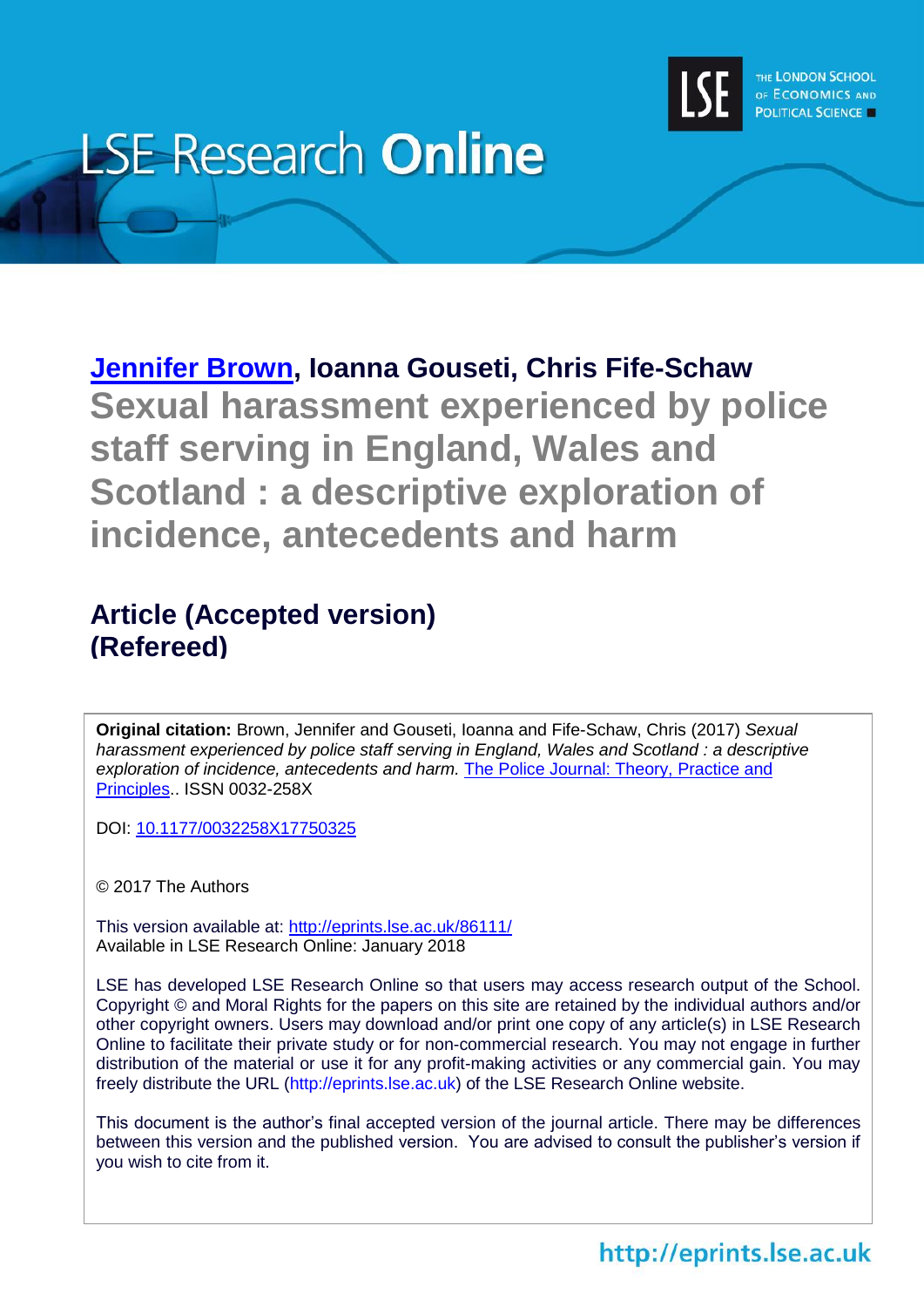

# **LSE Research Online**

**[Jennifer Brown,](http://www.lse.ac.uk/researchAndExpertise/Experts/profile.aspx?KeyValue=j.brown5@lse.ac.uk) Ioanna Gouseti, Chris Fife-Schaw Sexual harassment experienced by police staff serving in England, Wales and Scotland : a descriptive exploration of incidence, antecedents and harm**

# **Article (Accepted version) (Refereed)**

**Original citation:** Brown, Jennifer and Gouseti, Ioanna and Fife-Schaw, Chris (2017) *Sexual harassment experienced by police staff serving in England, Wales and Scotland : a descriptive exploration of incidence, antecedents and harm.* [The Police Journal: Theory, Practice and](http://journals.sagepub.com/home/pjx)  [Principles.](http://journals.sagepub.com/home/pjx). ISSN 0032-258X

DOI: [10.1177/0032258X17750325](http://dx.doi.org/10.1177/0032258X17750325)

© 2017 The Authors

This version available at:<http://eprints.lse.ac.uk/86111/> Available in LSE Research Online: January 2018

LSE has developed LSE Research Online so that users may access research output of the School. Copyright © and Moral Rights for the papers on this site are retained by the individual authors and/or other copyright owners. Users may download and/or print one copy of any article(s) in LSE Research Online to facilitate their private study or for non-commercial research. You may not engage in further distribution of the material or use it for any profit-making activities or any commercial gain. You may freely distribute the URL (http://eprints.lse.ac.uk) of the LSE Research Online website.

This document is the author's final accepted version of the journal article. There may be differences between this version and the published version. You are advised to consult the publisher's version if you wish to cite from it.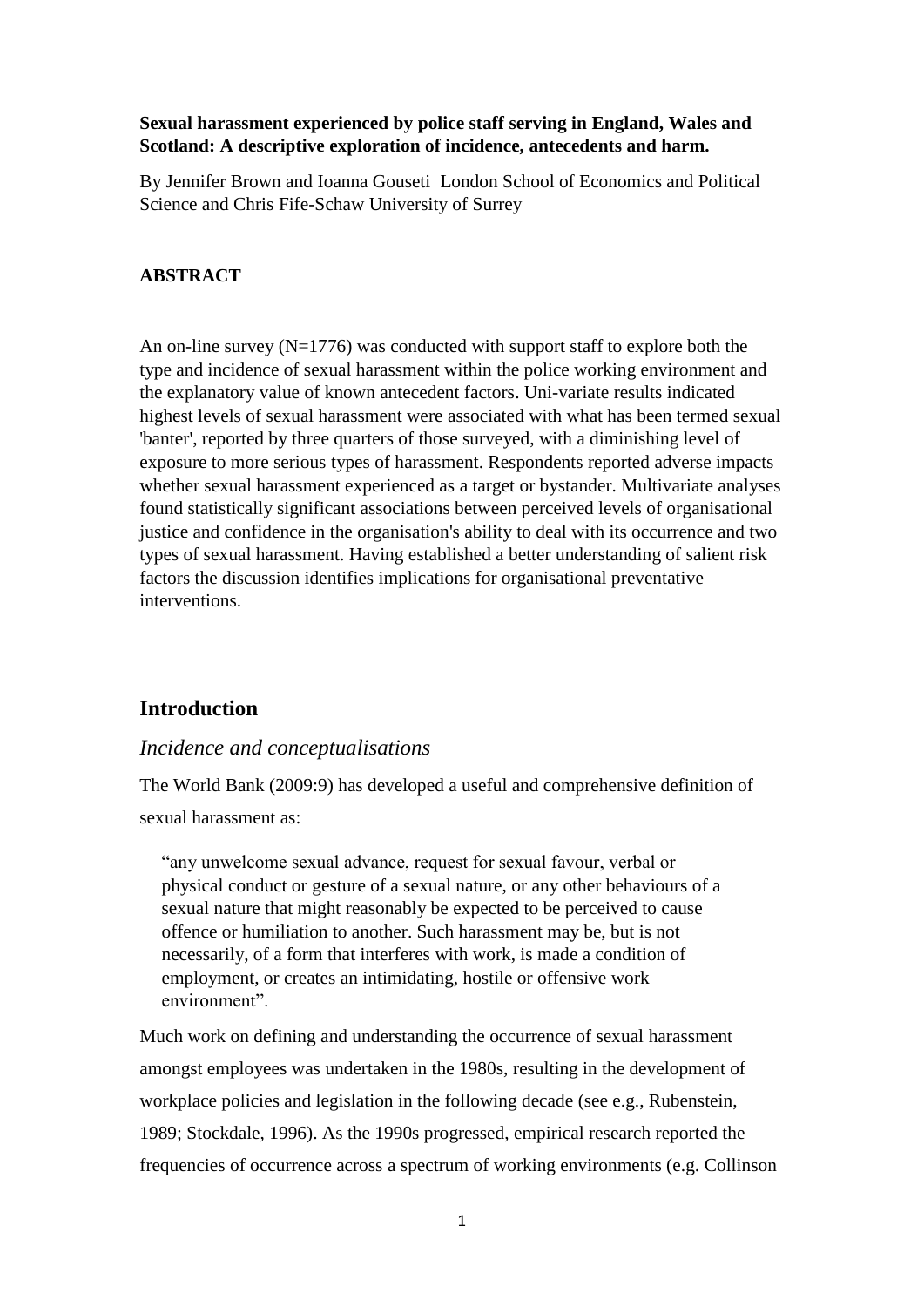#### **Sexual harassment experienced by police staff serving in England, Wales and Scotland: A descriptive exploration of incidence, antecedents and harm.**

By Jennifer Brown and Ioanna Gouseti London School of Economics and Political Science and Chris Fife-Schaw University of Surrey

#### **ABSTRACT**

An on-line survey (N=1776) was conducted with support staff to explore both the type and incidence of sexual harassment within the police working environment and the explanatory value of known antecedent factors. Uni-variate results indicated highest levels of sexual harassment were associated with what has been termed sexual 'banter', reported by three quarters of those surveyed, with a diminishing level of exposure to more serious types of harassment. Respondents reported adverse impacts whether sexual harassment experienced as a target or bystander. Multivariate analyses found statistically significant associations between perceived levels of organisational justice and confidence in the organisation's ability to deal with its occurrence and two types of sexual harassment. Having established a better understanding of salient risk factors the discussion identifies implications for organisational preventative interventions.

### **Introduction**

#### *Incidence and conceptualisations*

The World Bank (2009:9) has developed a useful and comprehensive definition of sexual harassment as:

"any unwelcome sexual advance, request for sexual favour, verbal or physical conduct or gesture of a sexual nature, or any other behaviours of a sexual nature that might reasonably be expected to be perceived to cause offence or humiliation to another. Such harassment may be, but is not necessarily, of a form that interferes with work, is made a condition of employment, or creates an intimidating, hostile or offensive work environment".

Much work on defining and understanding the occurrence of sexual harassment amongst employees was undertaken in the 1980s, resulting in the development of workplace policies and legislation in the following decade (see e.g., Rubenstein, 1989; Stockdale, 1996). As the 1990s progressed, empirical research reported the frequencies of occurrence across a spectrum of working environments (e.g. Collinson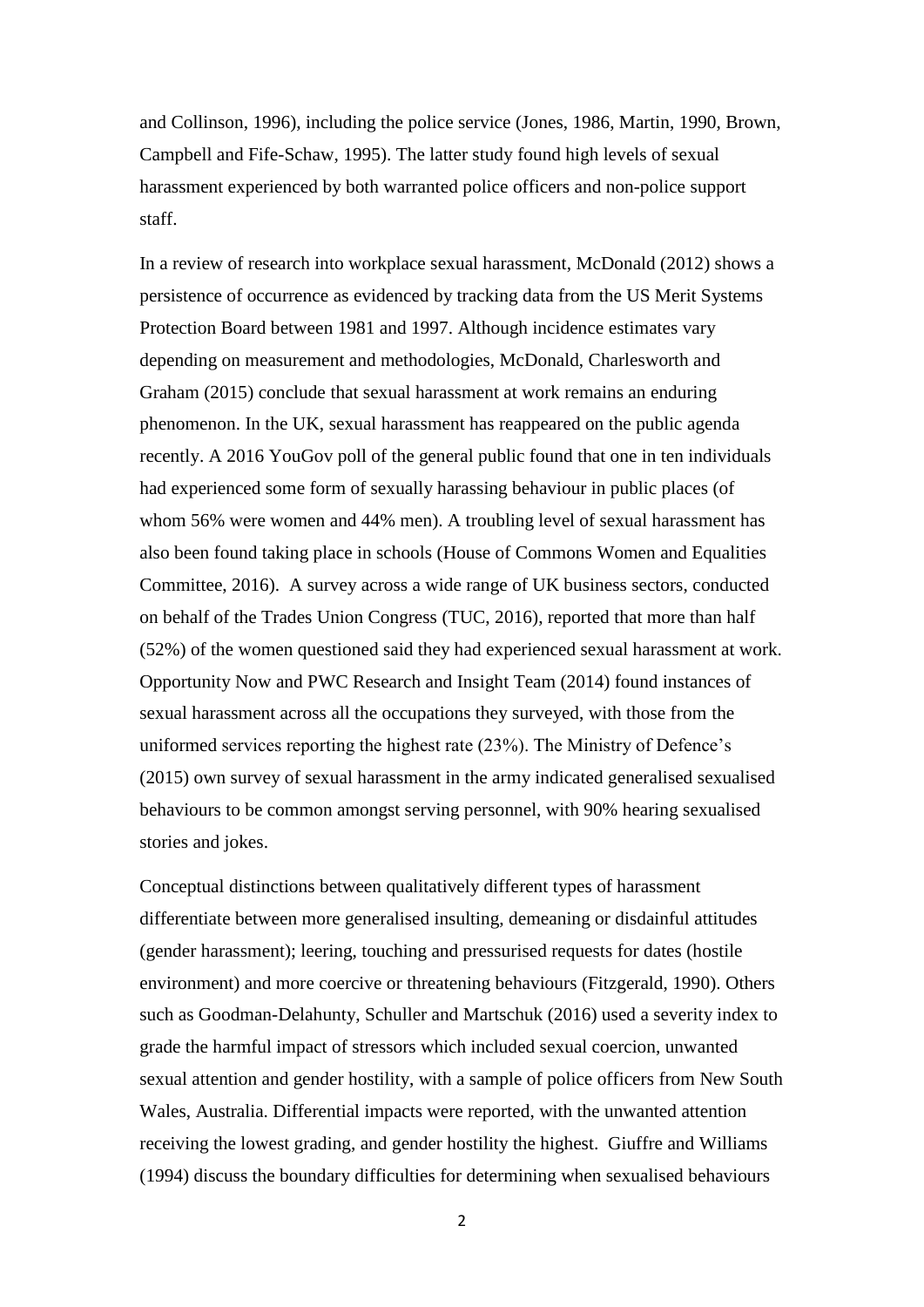and Collinson, 1996), including the police service (Jones, 1986, Martin, 1990, Brown, Campbell and Fife-Schaw, 1995). The latter study found high levels of sexual harassment experienced by both warranted police officers and non-police support staff.

In a review of research into workplace sexual harassment, McDonald (2012) shows a persistence of occurrence as evidenced by tracking data from the US Merit Systems Protection Board between 1981 and 1997. Although incidence estimates vary depending on measurement and methodologies, McDonald, Charlesworth and Graham (2015) conclude that sexual harassment at work remains an enduring phenomenon. In the UK, sexual harassment has reappeared on the public agenda recently. A 2016 YouGov poll of the general public found that one in ten individuals had experienced some form of sexually harassing behaviour in public places (of whom 56% were women and 44% men). A troubling level of sexual harassment has also been found taking place in schools (House of Commons Women and Equalities Committee, 2016). A survey across a wide range of UK business sectors, conducted on behalf of the Trades Union Congress (TUC, 2016), reported that more than half (52%) of the women questioned said they had experienced sexual harassment at work. Opportunity Now and PWC Research and Insight Team (2014) found instances of sexual harassment across all the occupations they surveyed, with those from the uniformed services reporting the highest rate (23%). The Ministry of Defence's (2015) own survey of sexual harassment in the army indicated generalised sexualised behaviours to be common amongst serving personnel, with 90% hearing sexualised stories and jokes.

Conceptual distinctions between qualitatively different types of harassment differentiate between more generalised insulting, demeaning or disdainful attitudes (gender harassment); leering, touching and pressurised requests for dates (hostile environment) and more coercive or threatening behaviours (Fitzgerald, 1990). Others such as Goodman-Delahunty, Schuller and Martschuk (2016) used a severity index to grade the harmful impact of stressors which included sexual coercion, unwanted sexual attention and gender hostility, with a sample of police officers from New South Wales, Australia. Differential impacts were reported, with the unwanted attention receiving the lowest grading, and gender hostility the highest. Giuffre and Williams (1994) discuss the boundary difficulties for determining when sexualised behaviours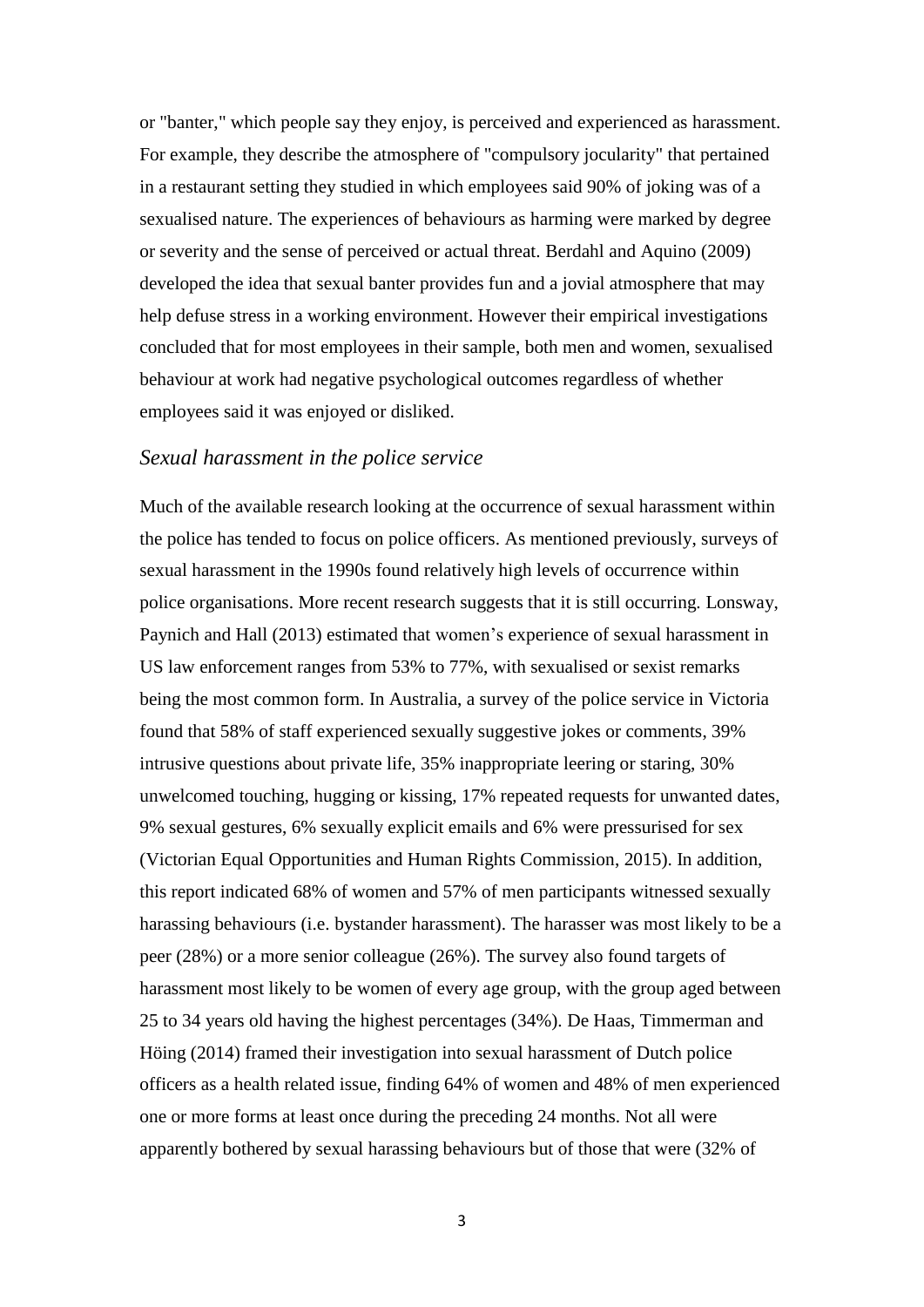or "banter," which people say they enjoy, is perceived and experienced as harassment. For example, they describe the atmosphere of "compulsory jocularity" that pertained in a restaurant setting they studied in which employees said 90% of joking was of a sexualised nature. The experiences of behaviours as harming were marked by degree or severity and the sense of perceived or actual threat. Berdahl and Aquino (2009) developed the idea that sexual banter provides fun and a jovial atmosphere that may help defuse stress in a working environment. However their empirical investigations concluded that for most employees in their sample, both men and women, sexualised behaviour at work had negative psychological outcomes regardless of whether employees said it was enjoyed or disliked.

#### *Sexual harassment in the police service*

Much of the available research looking at the occurrence of sexual harassment within the police has tended to focus on police officers. As mentioned previously, surveys of sexual harassment in the 1990s found relatively high levels of occurrence within police organisations. More recent research suggests that it is still occurring. Lonsway, Paynich and Hall (2013) estimated that women's experience of sexual harassment in US law enforcement ranges from 53% to 77%, with sexualised or sexist remarks being the most common form. In Australia, a survey of the police service in Victoria found that 58% of staff experienced sexually suggestive jokes or comments, 39% intrusive questions about private life, 35% inappropriate leering or staring, 30% unwelcomed touching, hugging or kissing, 17% repeated requests for unwanted dates, 9% sexual gestures, 6% sexually explicit emails and 6% were pressurised for sex (Victorian Equal Opportunities and Human Rights Commission, 2015). In addition, this report indicated 68% of women and 57% of men participants witnessed sexually harassing behaviours (i.e. bystander harassment). The harasser was most likely to be a peer (28%) or a more senior colleague (26%). The survey also found targets of harassment most likely to be women of every age group, with the group aged between 25 to 34 years old having the highest percentages (34%). De Haas, Timmerman and Höing (2014) framed their investigation into sexual harassment of Dutch police officers as a health related issue, finding 64% of women and 48% of men experienced one or more forms at least once during the preceding 24 months. Not all were apparently bothered by sexual harassing behaviours but of those that were (32% of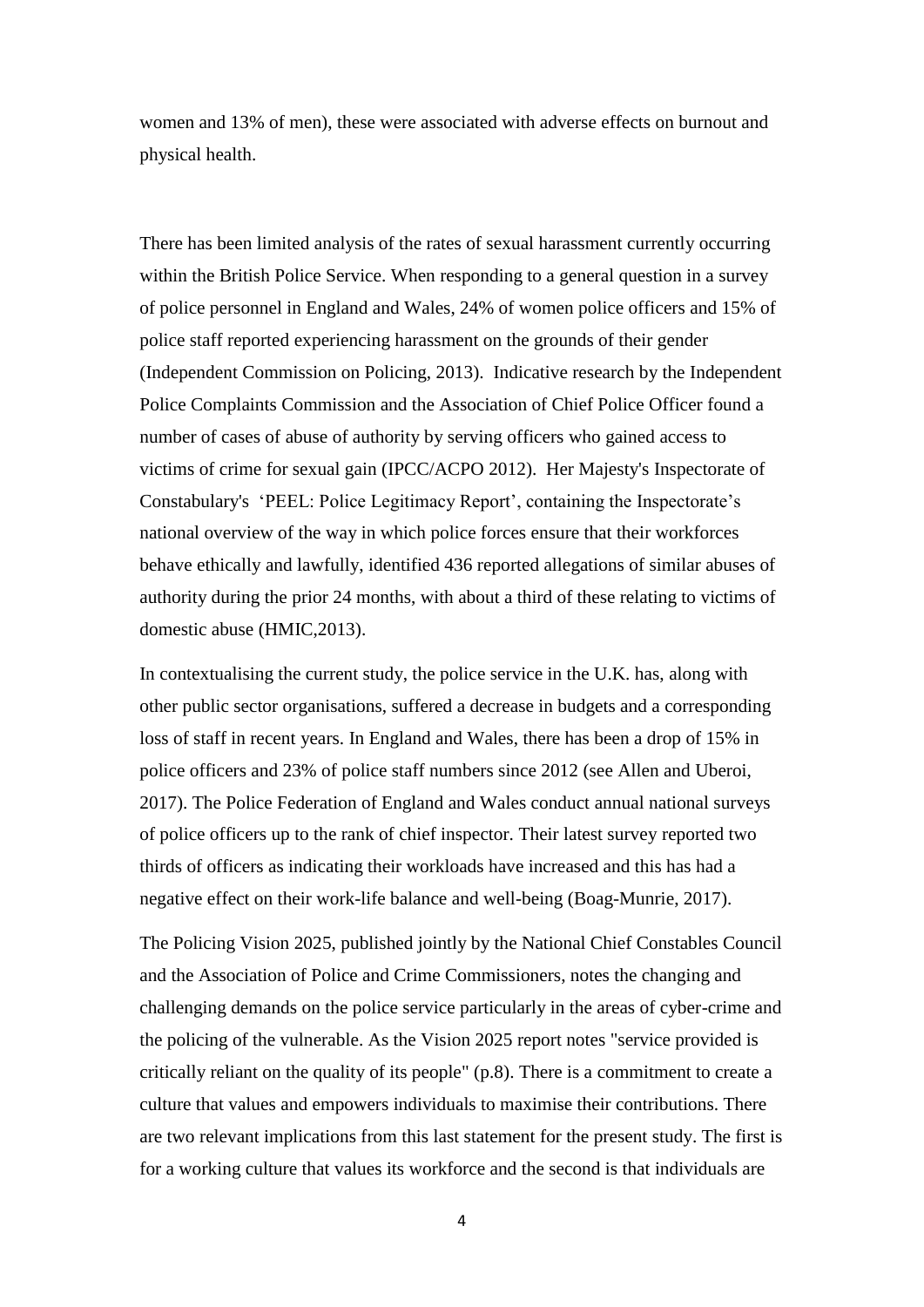women and 13% of men), these were associated with adverse effects on burnout and physical health.

There has been limited analysis of the rates of sexual harassment currently occurring within the British Police Service. When responding to a general question in a survey of police personnel in England and Wales, 24% of women police officers and 15% of police staff reported experiencing harassment on the grounds of their gender (Independent Commission on Policing, 2013). Indicative research by the Independent Police Complaints Commission and the Association of Chief Police Officer found a number of cases of abuse of authority by serving officers who gained access to victims of crime for sexual gain (IPCC/ACPO 2012). Her Majesty's Inspectorate of Constabulary's 'PEEL: Police Legitimacy Report', containing the Inspectorate's national overview of the way in which police forces ensure that their workforces behave ethically and lawfully, identified 436 reported allegations of similar abuses of authority during the prior 24 months, with about a third of these relating to victims of domestic abuse (HMIC,2013).

In contextualising the current study, the police service in the U.K. has, along with other public sector organisations, suffered a decrease in budgets and a corresponding loss of staff in recent years. In England and Wales, there has been a drop of 15% in police officers and 23% of police staff numbers since 2012 (see Allen and Uberoi, 2017). The Police Federation of England and Wales conduct annual national surveys of police officers up to the rank of chief inspector. Their latest survey reported two thirds of officers as indicating their workloads have increased and this has had a negative effect on their work-life balance and well-being (Boag-Munrie, 2017).

The Policing Vision 2025, published jointly by the National Chief Constables Council and the Association of Police and Crime Commissioners, notes the changing and challenging demands on the police service particularly in the areas of cyber-crime and the policing of the vulnerable. As the Vision 2025 report notes "service provided is critically reliant on the quality of its people" (p.8). There is a commitment to create a culture that values and empowers individuals to maximise their contributions. There are two relevant implications from this last statement for the present study. The first is for a working culture that values its workforce and the second is that individuals are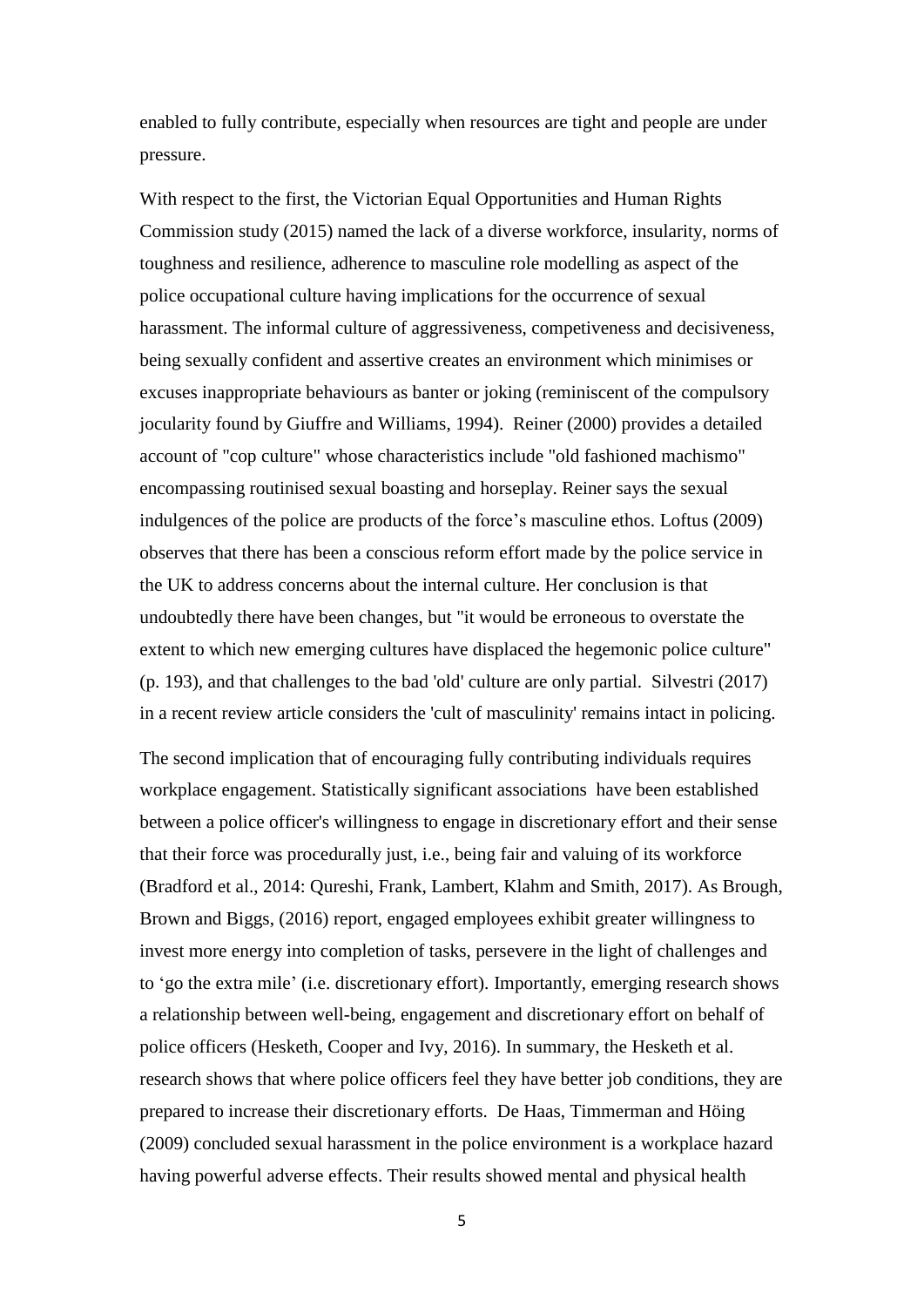enabled to fully contribute, especially when resources are tight and people are under pressure.

With respect to the first, the Victorian Equal Opportunities and Human Rights Commission study (2015) named the lack of a diverse workforce, insularity, norms of toughness and resilience, adherence to masculine role modelling as aspect of the police occupational culture having implications for the occurrence of sexual harassment. The informal culture of aggressiveness, competiveness and decisiveness, being sexually confident and assertive creates an environment which minimises or excuses inappropriate behaviours as banter or joking (reminiscent of the compulsory jocularity found by Giuffre and Williams, 1994). Reiner (2000) provides a detailed account of "cop culture" whose characteristics include "old fashioned machismo" encompassing routinised sexual boasting and horseplay. Reiner says the sexual indulgences of the police are products of the force's masculine ethos. Loftus (2009) observes that there has been a conscious reform effort made by the police service in the UK to address concerns about the internal culture. Her conclusion is that undoubtedly there have been changes, but "it would be erroneous to overstate the extent to which new emerging cultures have displaced the hegemonic police culture" (p. 193), and that challenges to the bad 'old' culture are only partial. Silvestri (2017) in a recent review article considers the 'cult of masculinity' remains intact in policing.

The second implication that of encouraging fully contributing individuals requires workplace engagement. Statistically significant associations have been established between a police officer's willingness to engage in discretionary effort and their sense that their force was procedurally just, i.e., being fair and valuing of its workforce (Bradford et al., 2014: Qureshi, Frank, Lambert, Klahm and Smith, 2017). As Brough, Brown and Biggs, (2016) report, engaged employees exhibit greater willingness to invest more energy into completion of tasks, persevere in the light of challenges and to 'go the extra mile' (i.e. discretionary effort). Importantly, emerging research shows a relationship between well-being, engagement and discretionary effort on behalf of police officers (Hesketh, Cooper and Ivy, 2016). In summary, the Hesketh et al. research shows that where police officers feel they have better job conditions, they are prepared to increase their discretionary efforts. De Haas, Timmerman and Höing (2009) concluded sexual harassment in the police environment is a workplace hazard having powerful adverse effects. Their results showed mental and physical health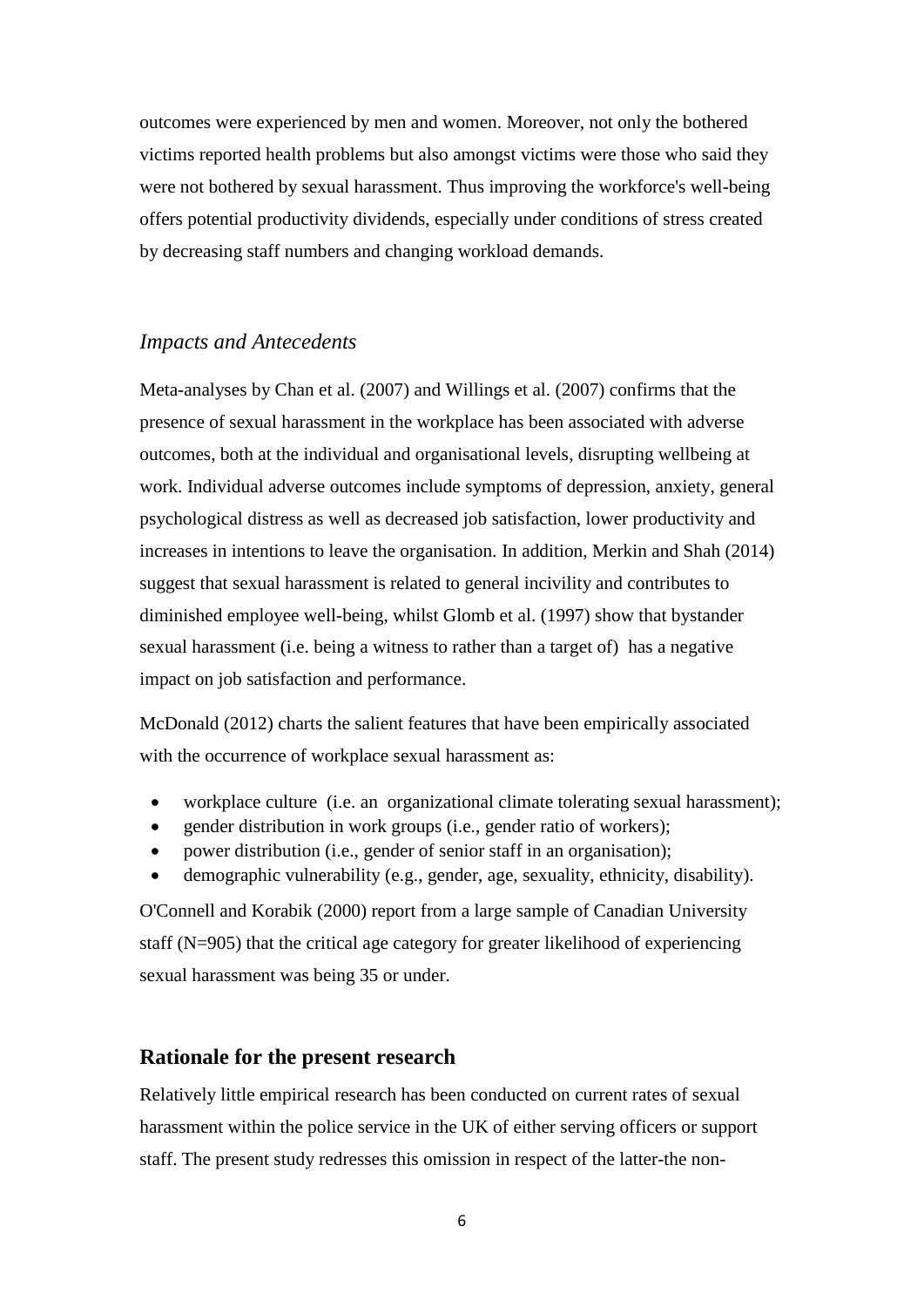outcomes were experienced by men and women. Moreover, not only the bothered victims reported health problems but also amongst victims were those who said they were not bothered by sexual harassment. Thus improving the workforce's well-being offers potential productivity dividends, especially under conditions of stress created by decreasing staff numbers and changing workload demands.

#### *Impacts and Antecedents*

Meta-analyses by Chan et al. (2007) and Willings et al. (2007) confirms that the presence of sexual harassment in the workplace has been associated with adverse outcomes, both at the individual and organisational levels, disrupting wellbeing at work. Individual adverse outcomes include symptoms of depression, anxiety, general psychological distress as well as decreased job satisfaction, lower productivity and increases in intentions to leave the organisation. In addition, Merkin and Shah (2014) suggest that sexual harassment is related to general incivility and contributes to diminished employee well-being, whilst Glomb et al. (1997) show that bystander sexual harassment (i.e. being a witness to rather than a target of) has a negative impact on job satisfaction and performance.

McDonald (2012) charts the salient features that have been empirically associated with the occurrence of workplace sexual harassment as:

- workplace culture (i.e. an organizational climate tolerating sexual harassment);
- gender distribution in work groups (i.e., gender ratio of workers);
- power distribution (i.e., gender of senior staff in an organisation);
- demographic vulnerability (e.g., gender, age, sexuality, ethnicity, disability).

O'Connell and Korabik (2000) report from a large sample of Canadian University staff (N=905) that the critical age category for greater likelihood of experiencing sexual harassment was being 35 or under.

#### **Rationale for the present research**

Relatively little empirical research has been conducted on current rates of sexual harassment within the police service in the UK of either serving officers or support staff. The present study redresses this omission in respect of the latter-the non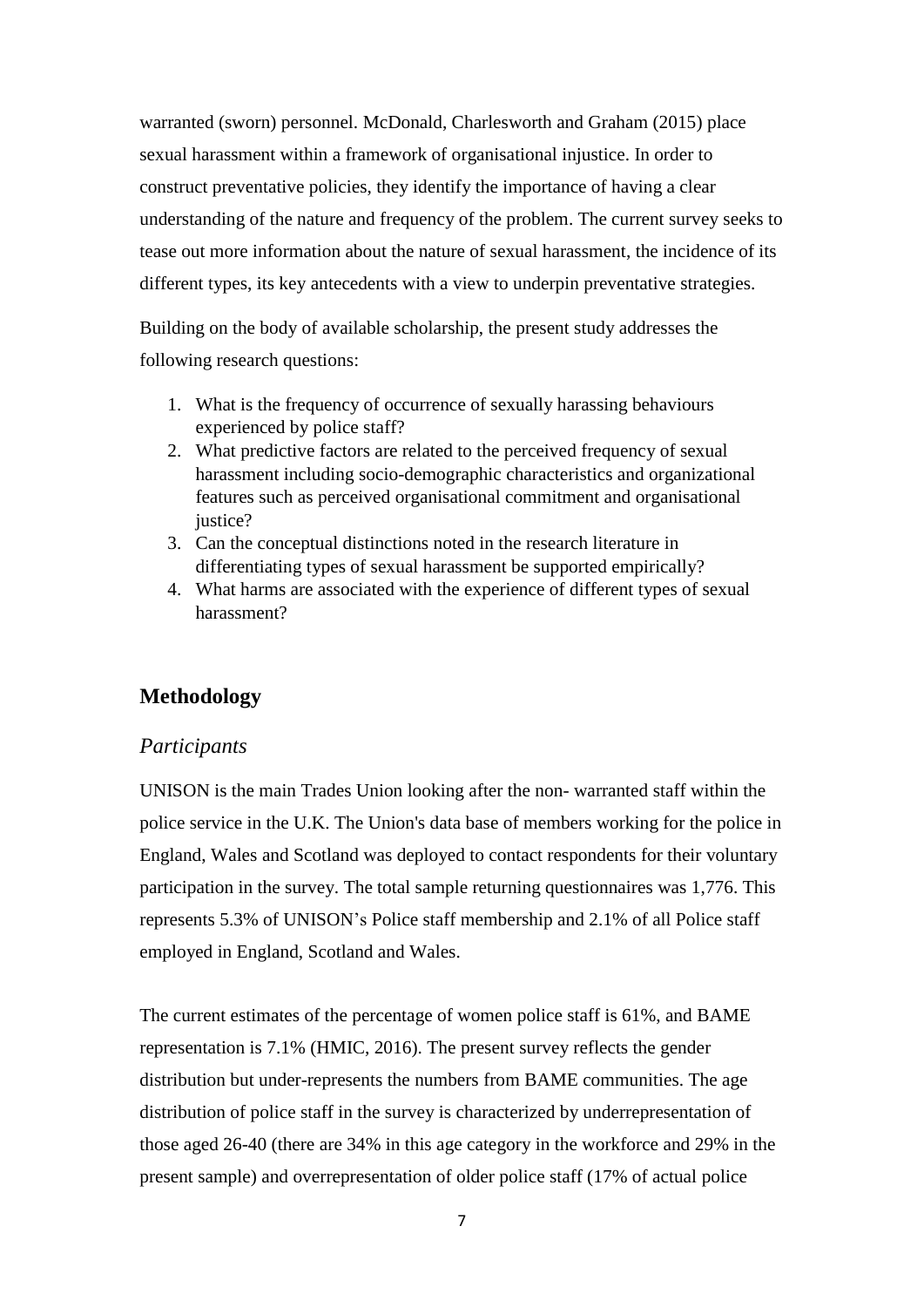warranted (sworn) personnel. McDonald, Charlesworth and Graham (2015) place sexual harassment within a framework of organisational injustice. In order to construct preventative policies, they identify the importance of having a clear understanding of the nature and frequency of the problem. The current survey seeks to tease out more information about the nature of sexual harassment, the incidence of its different types, its key antecedents with a view to underpin preventative strategies.

Building on the body of available scholarship, the present study addresses the following research questions:

- 1. What is the frequency of occurrence of sexually harassing behaviours experienced by police staff?
- 2. What predictive factors are related to the perceived frequency of sexual harassment including socio-demographic characteristics and organizational features such as perceived organisational commitment and organisational justice?
- 3. Can the conceptual distinctions noted in the research literature in differentiating types of sexual harassment be supported empirically?
- 4. What harms are associated with the experience of different types of sexual harassment?

#### **Methodology**

#### *Participants*

UNISON is the main Trades Union looking after the non- warranted staff within the police service in the U.K. The Union's data base of members working for the police in England, Wales and Scotland was deployed to contact respondents for their voluntary participation in the survey. The total sample returning questionnaires was 1,776. This represents 5.3% of UNISON's Police staff membership and 2.1% of all Police staff employed in England, Scotland and Wales.

The current estimates of the percentage of women police staff is 61%, and BAME representation is 7.1% (HMIC, 2016). The present survey reflects the gender distribution but under-represents the numbers from BAME communities. The age distribution of police staff in the survey is characterized by underrepresentation of those aged 26-40 (there are 34% in this age category in the workforce and 29% in the present sample) and overrepresentation of older police staff (17% of actual police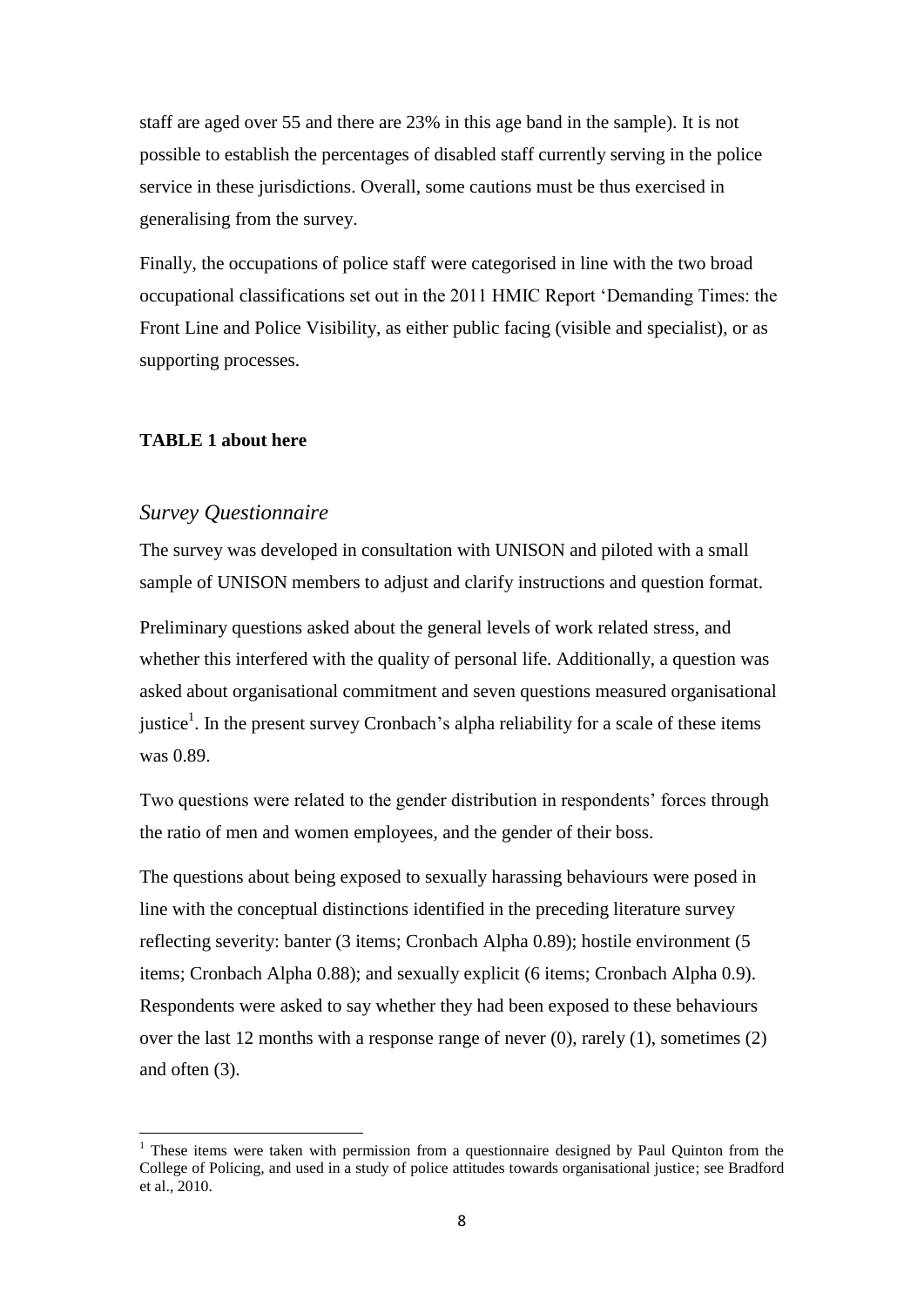staff are aged over 55 and there are 23% in this age band in the sample). It is not possible to establish the percentages of disabled staff currently serving in the police service in these jurisdictions. Overall, some cautions must be thus exercised in generalising from the survey.

Finally, the occupations of police staff were categorised in line with the two broad occupational classifications set out in the 2011 HMIC Report 'Demanding Times: the Front Line and Police Visibility, as either public facing (visible and specialist), or as supporting processes.

#### **TABLE 1 about here**

#### *Survey Questionnaire*

1

The survey was developed in consultation with UNISON and piloted with a small sample of UNISON members to adjust and clarify instructions and question format.

Preliminary questions asked about the general levels of work related stress, and whether this interfered with the quality of personal life. Additionally, a question was asked about organisational commitment and seven questions measured organisational justice<sup>1</sup>. In the present survey Cronbach's alpha reliability for a scale of these items was 0.89.

Two questions were related to the gender distribution in respondents' forces through the ratio of men and women employees, and the gender of their boss.

The questions about being exposed to sexually harassing behaviours were posed in line with the conceptual distinctions identified in the preceding literature survey reflecting severity: banter (3 items; Cronbach Alpha 0.89); hostile environment (5 items; Cronbach Alpha 0.88); and sexually explicit (6 items; Cronbach Alpha 0.9). Respondents were asked to say whether they had been exposed to these behaviours over the last 12 months with a response range of never (0), rarely (1), sometimes (2) and often (3).

 $<sup>1</sup>$  These items were taken with permission from a questionnaire designed by Paul Quinton from the</sup> College of Policing, and used in a study of police attitudes towards organisational justice; see Bradford et al., 2010.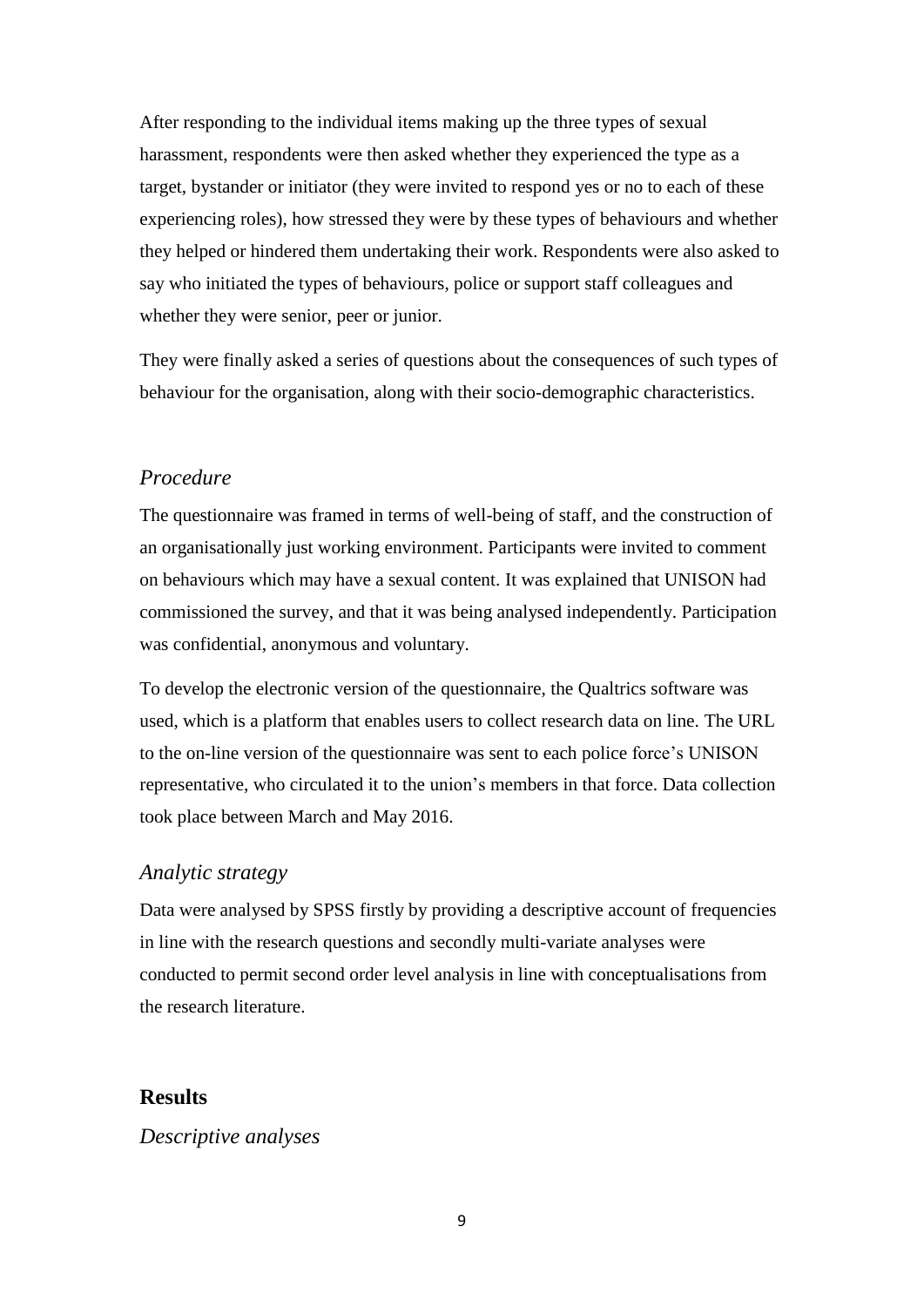After responding to the individual items making up the three types of sexual harassment, respondents were then asked whether they experienced the type as a target, bystander or initiator (they were invited to respond yes or no to each of these experiencing roles), how stressed they were by these types of behaviours and whether they helped or hindered them undertaking their work. Respondents were also asked to say who initiated the types of behaviours, police or support staff colleagues and whether they were senior, peer or junior.

They were finally asked a series of questions about the consequences of such types of behaviour for the organisation, along with their socio-demographic characteristics.

#### *Procedure*

The questionnaire was framed in terms of well-being of staff, and the construction of an organisationally just working environment. Participants were invited to comment on behaviours which may have a sexual content. It was explained that UNISON had commissioned the survey, and that it was being analysed independently. Participation was confidential, anonymous and voluntary.

To develop the electronic version of the questionnaire, the Qualtrics software was used, which is a platform that enables users to collect research data on line. The URL to the on-line version of the questionnaire was sent to each police force's UNISON representative, who circulated it to the union's members in that force. Data collection took place between March and May 2016.

#### *Analytic strategy*

Data were analysed by SPSS firstly by providing a descriptive account of frequencies in line with the research questions and secondly multi-variate analyses were conducted to permit second order level analysis in line with conceptualisations from the research literature.

#### **Results**

*Descriptive analyses*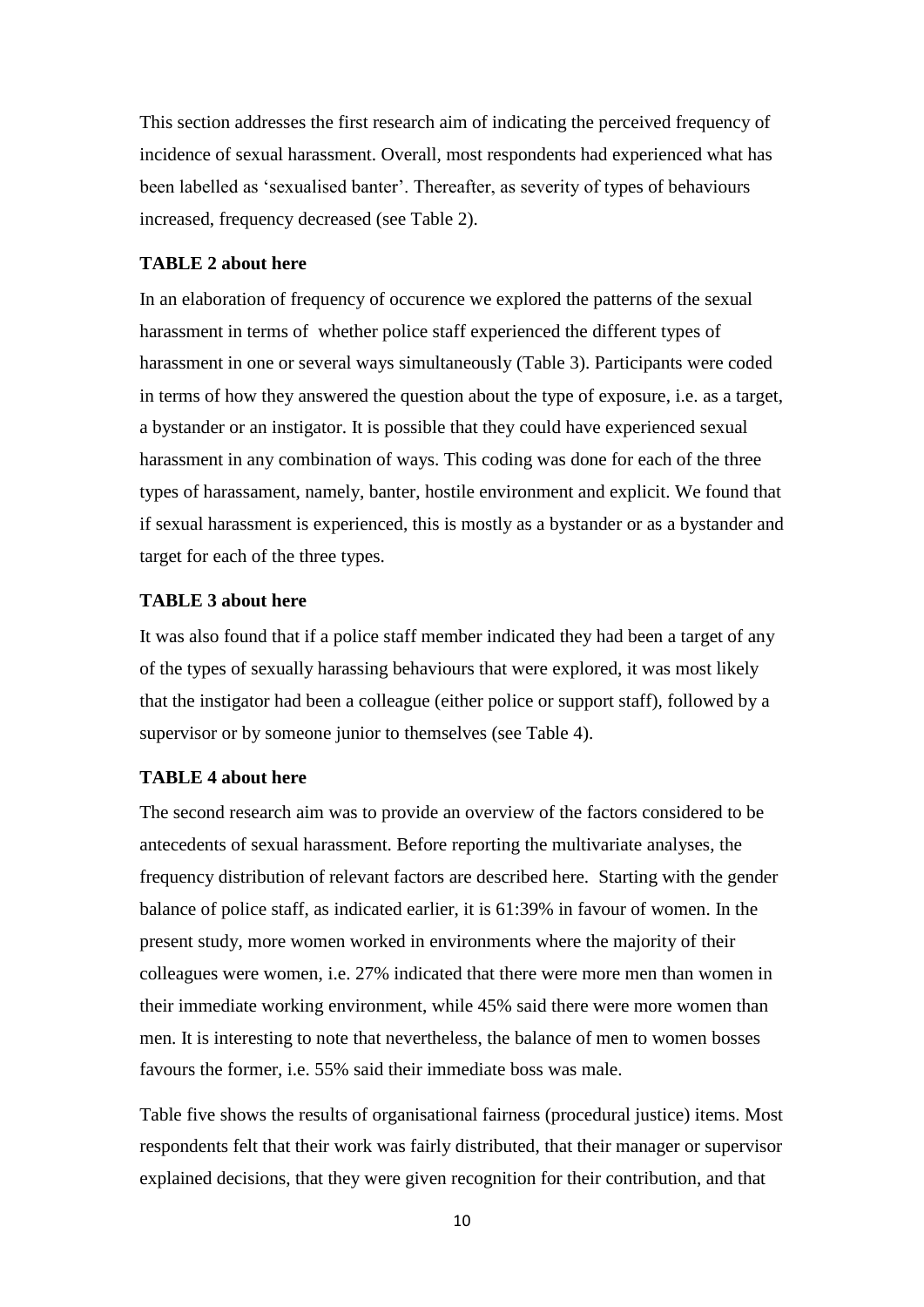This section addresses the first research aim of indicating the perceived frequency of incidence of sexual harassment. Overall, most respondents had experienced what has been labelled as 'sexualised banter'. Thereafter, as severity of types of behaviours increased, frequency decreased (see Table 2).

#### **TABLE 2 about here**

In an elaboration of frequency of occurence we explored the patterns of the sexual harassment in terms of whether police staff experienced the different types of harassment in one or several ways simultaneously (Table 3). Participants were coded in terms of how they answered the question about the type of exposure, i.e. as a target, a bystander or an instigator. It is possible that they could have experienced sexual harassment in any combination of ways. This coding was done for each of the three types of harassament, namely, banter, hostile environment and explicit. We found that if sexual harassment is experienced, this is mostly as a bystander or as a bystander and target for each of the three types.

#### **TABLE 3 about here**

It was also found that if a police staff member indicated they had been a target of any of the types of sexually harassing behaviours that were explored, it was most likely that the instigator had been a colleague (either police or support staff), followed by a supervisor or by someone junior to themselves (see Table 4).

#### **TABLE 4 about here**

The second research aim was to provide an overview of the factors considered to be antecedents of sexual harassment. Before reporting the multivariate analyses, the frequency distribution of relevant factors are described here. Starting with the gender balance of police staff, as indicated earlier, it is 61:39% in favour of women. In the present study, more women worked in environments where the majority of their colleagues were women, i.e. 27% indicated that there were more men than women in their immediate working environment, while 45% said there were more women than men. It is interesting to note that nevertheless, the balance of men to women bosses favours the former, i.e. 55% said their immediate boss was male.

Table five shows the results of organisational fairness (procedural justice) items. Most respondents felt that their work was fairly distributed, that their manager or supervisor explained decisions, that they were given recognition for their contribution, and that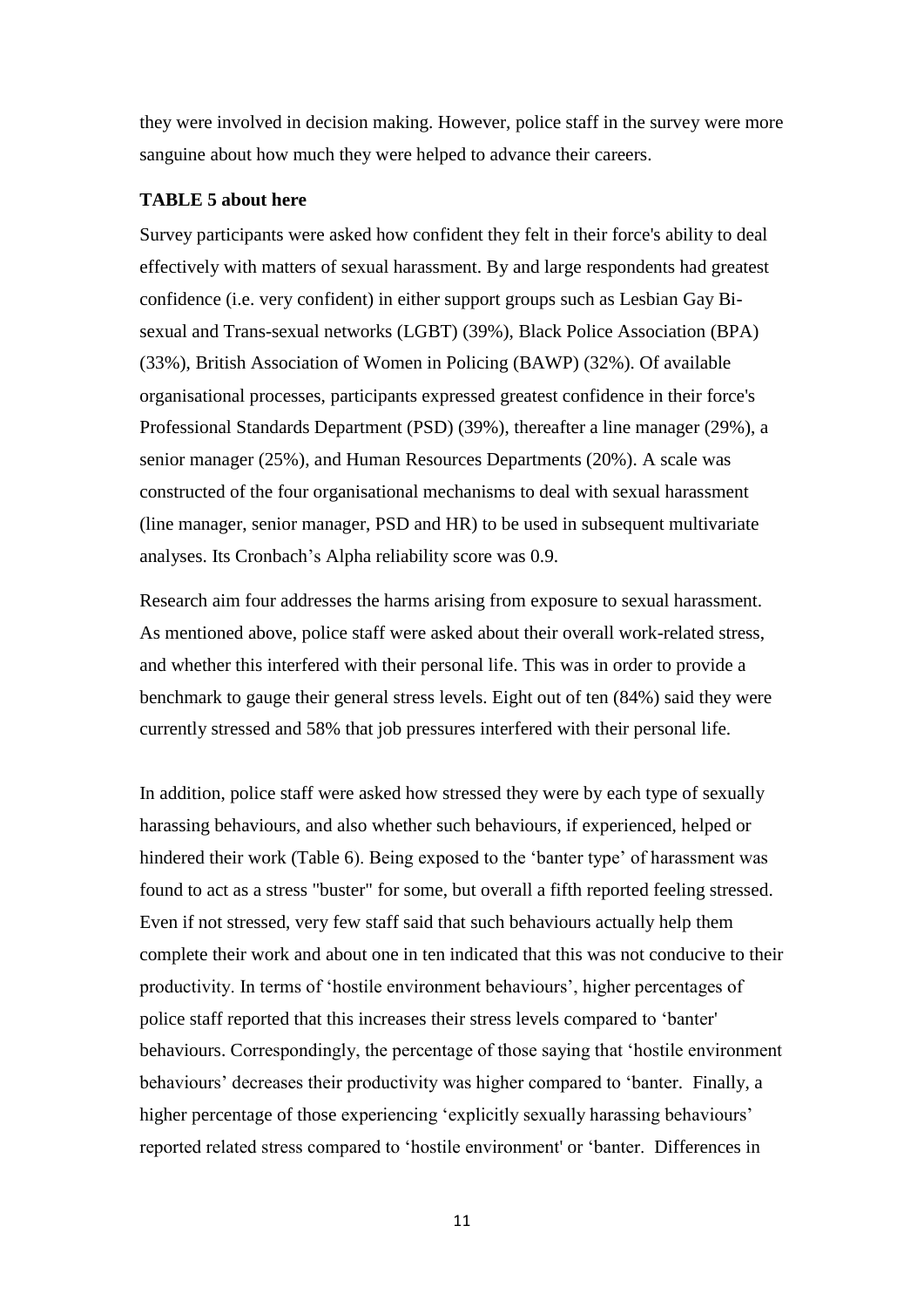they were involved in decision making. However, police staff in the survey were more sanguine about how much they were helped to advance their careers.

#### **TABLE 5 about here**

Survey participants were asked how confident they felt in their force's ability to deal effectively with matters of sexual harassment. By and large respondents had greatest confidence (i.e. very confident) in either support groups such as Lesbian Gay Bisexual and Trans-sexual networks (LGBT) (39%), Black Police Association (BPA) (33%), British Association of Women in Policing (BAWP) (32%). Of available organisational processes, participants expressed greatest confidence in their force's Professional Standards Department (PSD) (39%), thereafter a line manager (29%), a senior manager (25%), and Human Resources Departments (20%). A scale was constructed of the four organisational mechanisms to deal with sexual harassment (line manager, senior manager, PSD and HR) to be used in subsequent multivariate analyses. Its Cronbach's Alpha reliability score was 0.9.

Research aim four addresses the harms arising from exposure to sexual harassment. As mentioned above, police staff were asked about their overall work-related stress, and whether this interfered with their personal life. This was in order to provide a benchmark to gauge their general stress levels. Eight out of ten (84%) said they were currently stressed and 58% that job pressures interfered with their personal life.

In addition, police staff were asked how stressed they were by each type of sexually harassing behaviours, and also whether such behaviours, if experienced, helped or hindered their work (Table 6). Being exposed to the 'banter type' of harassment was found to act as a stress "buster" for some, but overall a fifth reported feeling stressed. Even if not stressed, very few staff said that such behaviours actually help them complete their work and about one in ten indicated that this was not conducive to their productivity. In terms of 'hostile environment behaviours', higher percentages of police staff reported that this increases their stress levels compared to 'banter' behaviours. Correspondingly, the percentage of those saying that 'hostile environment behaviours' decreases their productivity was higher compared to 'banter. Finally, a higher percentage of those experiencing 'explicitly sexually harassing behaviours' reported related stress compared to 'hostile environment' or 'banter. Differences in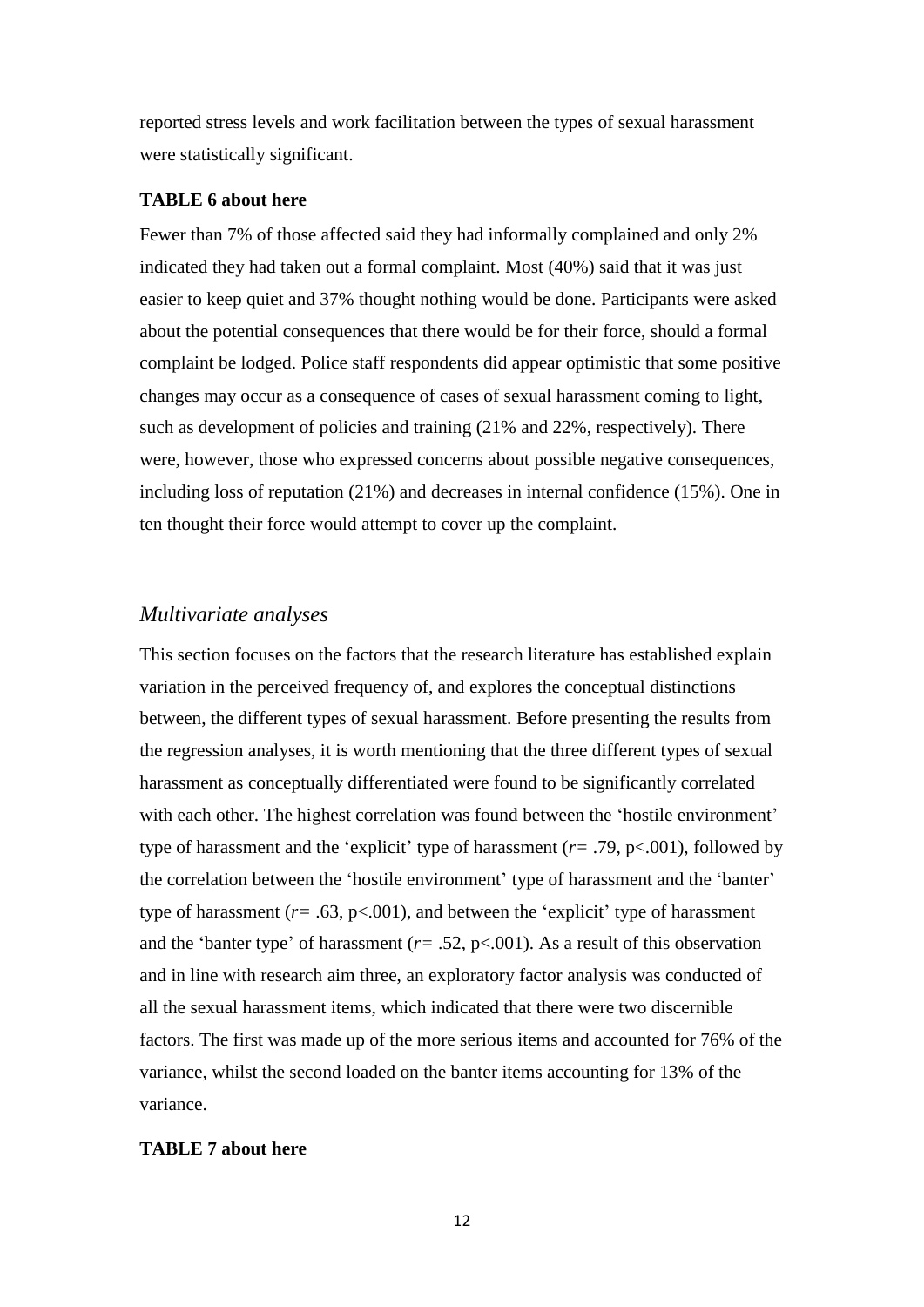reported stress levels and work facilitation between the types of sexual harassment were statistically significant.

#### **TABLE 6 about here**

Fewer than 7% of those affected said they had informally complained and only 2% indicated they had taken out a formal complaint. Most (40%) said that it was just easier to keep quiet and 37% thought nothing would be done. Participants were asked about the potential consequences that there would be for their force, should a formal complaint be lodged. Police staff respondents did appear optimistic that some positive changes may occur as a consequence of cases of sexual harassment coming to light, such as development of policies and training (21% and 22%, respectively). There were, however, those who expressed concerns about possible negative consequences, including loss of reputation (21%) and decreases in internal confidence (15%). One in ten thought their force would attempt to cover up the complaint.

#### *Multivariate analyses*

This section focuses on the factors that the research literature has established explain variation in the perceived frequency of, and explores the conceptual distinctions between, the different types of sexual harassment. Before presenting the results from the regression analyses, it is worth mentioning that the three different types of sexual harassment as conceptually differentiated were found to be significantly correlated with each other. The highest correlation was found between the 'hostile environment' type of harassment and the 'explicit' type of harassment (*r=* .79, p<.001), followed by the correlation between the 'hostile environment' type of harassment and the 'banter' type of harassment  $(r=.63, p<.001)$ , and between the 'explicit' type of harassment and the 'banter type' of harassment  $(r= .52, p< .001)$ . As a result of this observation and in line with research aim three, an exploratory factor analysis was conducted of all the sexual harassment items, which indicated that there were two discernible factors. The first was made up of the more serious items and accounted for 76% of the variance, whilst the second loaded on the banter items accounting for 13% of the variance.

#### **TABLE 7 about here**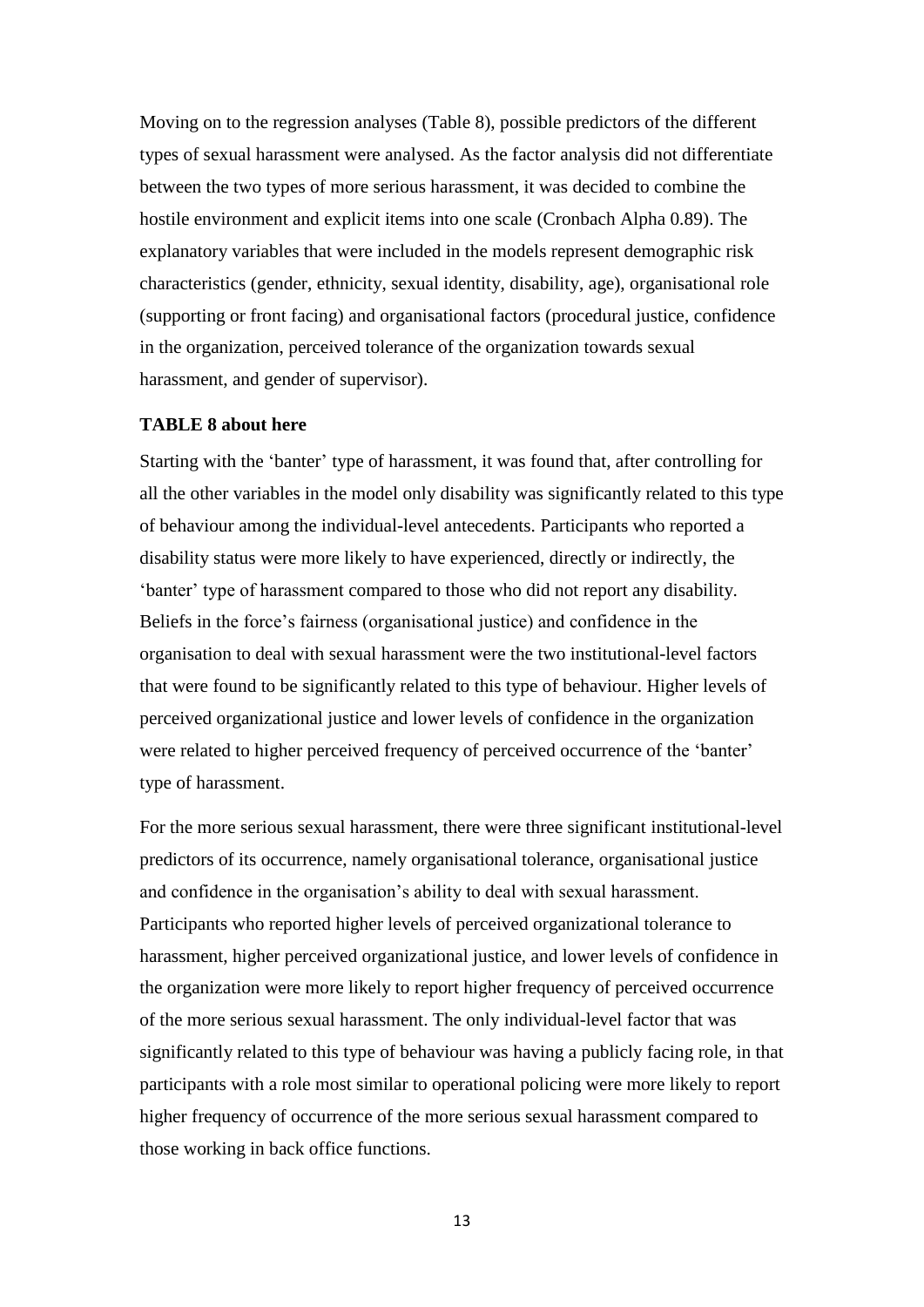Moving on to the regression analyses (Table 8), possible predictors of the different types of sexual harassment were analysed. As the factor analysis did not differentiate between the two types of more serious harassment, it was decided to combine the hostile environment and explicit items into one scale (Cronbach Alpha 0.89). The explanatory variables that were included in the models represent demographic risk characteristics (gender, ethnicity, sexual identity, disability, age), organisational role (supporting or front facing) and organisational factors (procedural justice, confidence in the organization, perceived tolerance of the organization towards sexual harassment, and gender of supervisor).

#### **TABLE 8 about here**

Starting with the 'banter' type of harassment, it was found that, after controlling for all the other variables in the model only disability was significantly related to this type of behaviour among the individual-level antecedents. Participants who reported a disability status were more likely to have experienced, directly or indirectly, the 'banter' type of harassment compared to those who did not report any disability. Beliefs in the force's fairness (organisational justice) and confidence in the organisation to deal with sexual harassment were the two institutional-level factors that were found to be significantly related to this type of behaviour. Higher levels of perceived organizational justice and lower levels of confidence in the organization were related to higher perceived frequency of perceived occurrence of the 'banter' type of harassment.

For the more serious sexual harassment, there were three significant institutional-level predictors of its occurrence, namely organisational tolerance, organisational justice and confidence in the organisation's ability to deal with sexual harassment. Participants who reported higher levels of perceived organizational tolerance to harassment, higher perceived organizational justice, and lower levels of confidence in the organization were more likely to report higher frequency of perceived occurrence of the more serious sexual harassment. The only individual-level factor that was significantly related to this type of behaviour was having a publicly facing role, in that participants with a role most similar to operational policing were more likely to report higher frequency of occurrence of the more serious sexual harassment compared to those working in back office functions.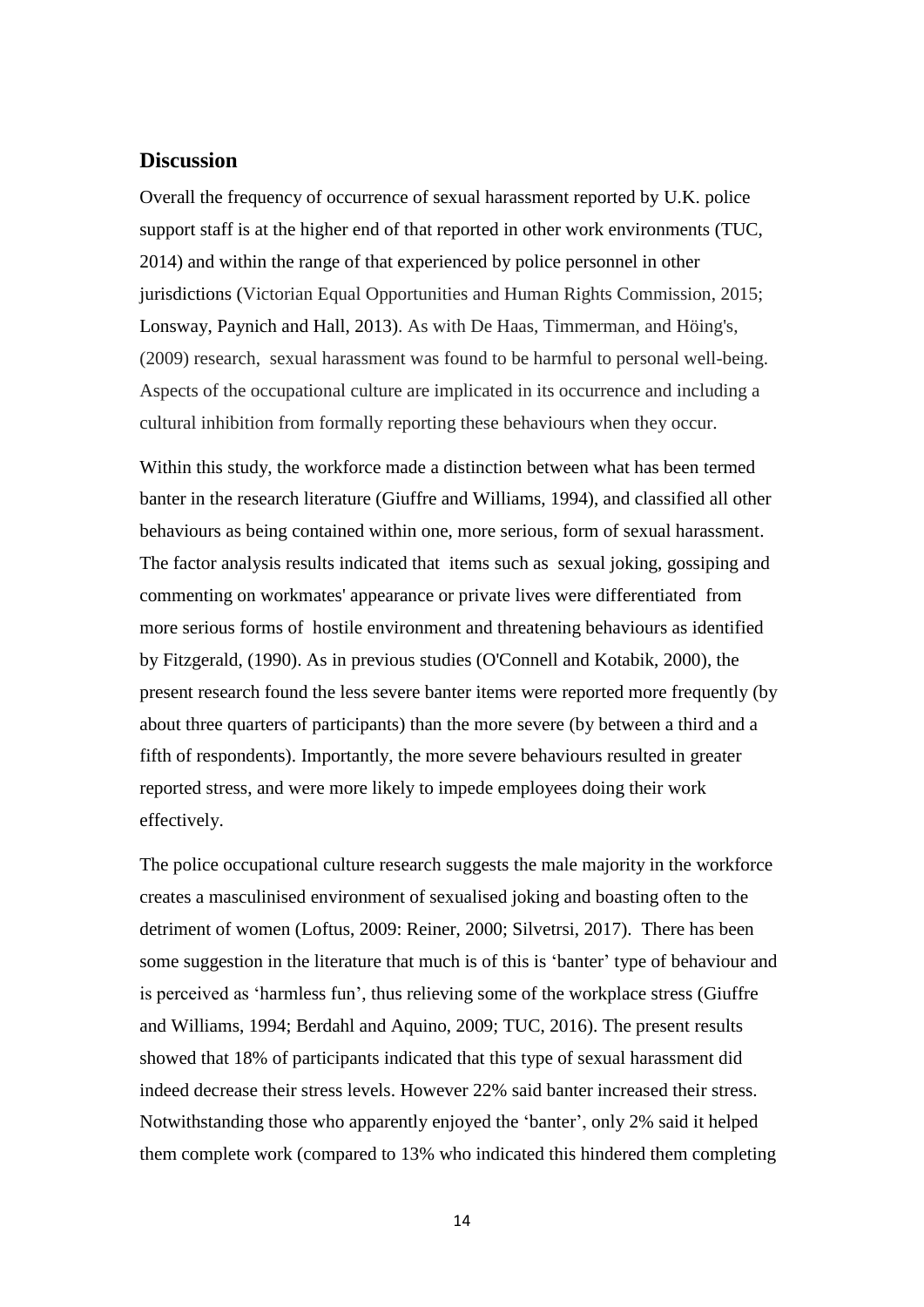#### **Discussion**

Overall the frequency of occurrence of sexual harassment reported by U.K. police support staff is at the higher end of that reported in other work environments (TUC, 2014) and within the range of that experienced by police personnel in other jurisdictions (Victorian Equal Opportunities and Human Rights Commission, 2015; Lonsway, Paynich and Hall, 2013). As with De Haas, Timmerman, and Höing's, (2009) research, sexual harassment was found to be harmful to personal well-being. Aspects of the occupational culture are implicated in its occurrence and including a cultural inhibition from formally reporting these behaviours when they occur.

Within this study, the workforce made a distinction between what has been termed banter in the research literature (Giuffre and Williams, 1994), and classified all other behaviours as being contained within one, more serious, form of sexual harassment. The factor analysis results indicated that items such as sexual joking, gossiping and commenting on workmates' appearance or private lives were differentiated from more serious forms of hostile environment and threatening behaviours as identified by Fitzgerald, (1990). As in previous studies (O'Connell and Kotabik, 2000), the present research found the less severe banter items were reported more frequently (by about three quarters of participants) than the more severe (by between a third and a fifth of respondents). Importantly, the more severe behaviours resulted in greater reported stress, and were more likely to impede employees doing their work effectively.

The police occupational culture research suggests the male majority in the workforce creates a masculinised environment of sexualised joking and boasting often to the detriment of women (Loftus, 2009: Reiner, 2000; Silvetrsi, 2017). There has been some suggestion in the literature that much is of this is 'banter' type of behaviour and is perceived as 'harmless fun', thus relieving some of the workplace stress (Giuffre and Williams, 1994; Berdahl and Aquino, 2009; TUC, 2016). The present results showed that 18% of participants indicated that this type of sexual harassment did indeed decrease their stress levels. However 22% said banter increased their stress. Notwithstanding those who apparently enjoyed the 'banter', only 2% said it helped them complete work (compared to 13% who indicated this hindered them completing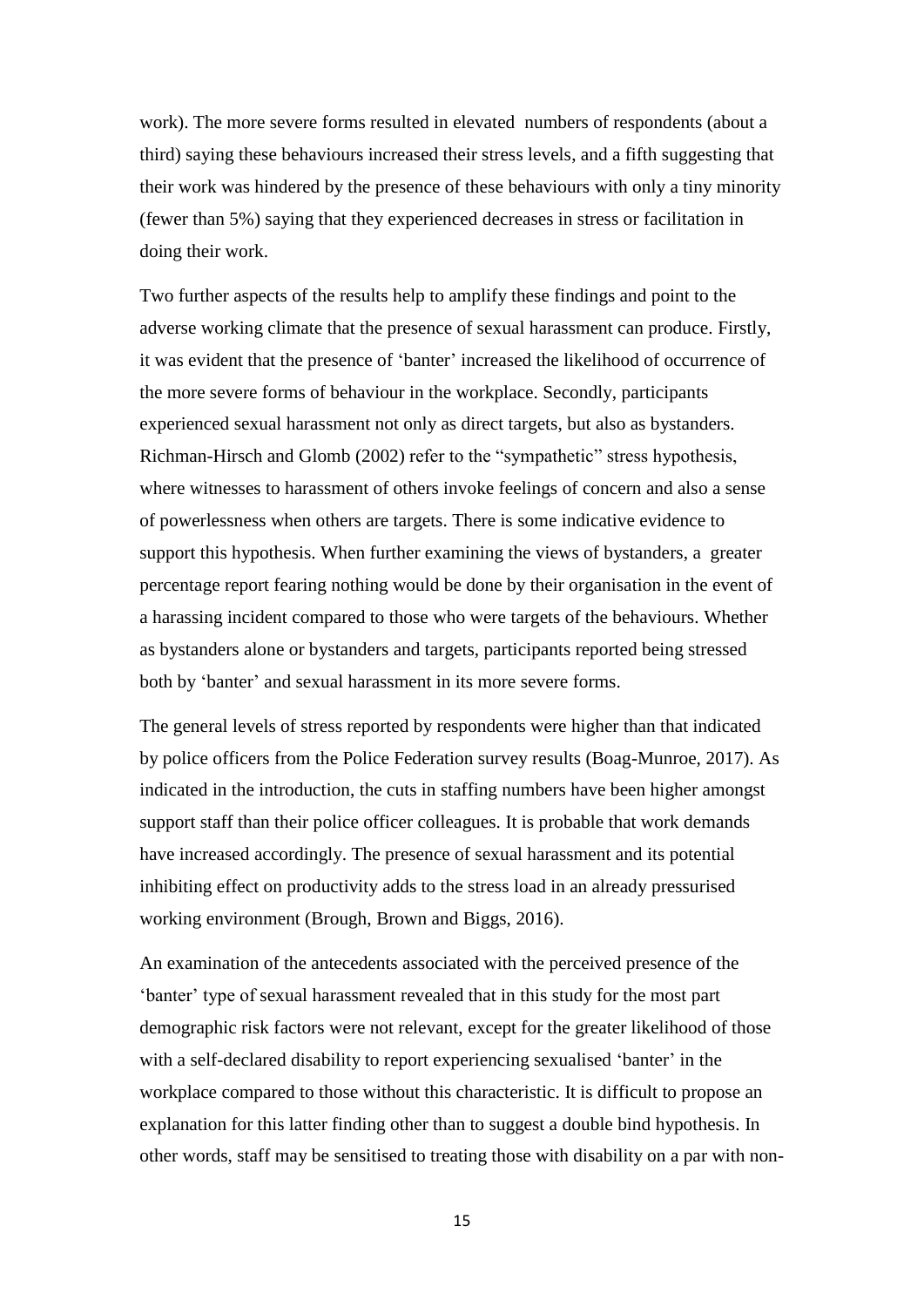work). The more severe forms resulted in elevated numbers of respondents (about a third) saying these behaviours increased their stress levels, and a fifth suggesting that their work was hindered by the presence of these behaviours with only a tiny minority (fewer than 5%) saying that they experienced decreases in stress or facilitation in doing their work.

Two further aspects of the results help to amplify these findings and point to the adverse working climate that the presence of sexual harassment can produce. Firstly, it was evident that the presence of 'banter' increased the likelihood of occurrence of the more severe forms of behaviour in the workplace. Secondly, participants experienced sexual harassment not only as direct targets, but also as bystanders. Richman-Hirsch and Glomb (2002) refer to the "sympathetic" stress hypothesis, where witnesses to harassment of others invoke feelings of concern and also a sense of powerlessness when others are targets. There is some indicative evidence to support this hypothesis. When further examining the views of bystanders, a greater percentage report fearing nothing would be done by their organisation in the event of a harassing incident compared to those who were targets of the behaviours. Whether as bystanders alone or bystanders and targets, participants reported being stressed both by 'banter' and sexual harassment in its more severe forms.

The general levels of stress reported by respondents were higher than that indicated by police officers from the Police Federation survey results (Boag-Munroe, 2017). As indicated in the introduction, the cuts in staffing numbers have been higher amongst support staff than their police officer colleagues. It is probable that work demands have increased accordingly. The presence of sexual harassment and its potential inhibiting effect on productivity adds to the stress load in an already pressurised working environment (Brough, Brown and Biggs, 2016).

An examination of the antecedents associated with the perceived presence of the 'banter' type of sexual harassment revealed that in this study for the most part demographic risk factors were not relevant, except for the greater likelihood of those with a self-declared disability to report experiencing sexualised 'banter' in the workplace compared to those without this characteristic. It is difficult to propose an explanation for this latter finding other than to suggest a double bind hypothesis. In other words, staff may be sensitised to treating those with disability on a par with non-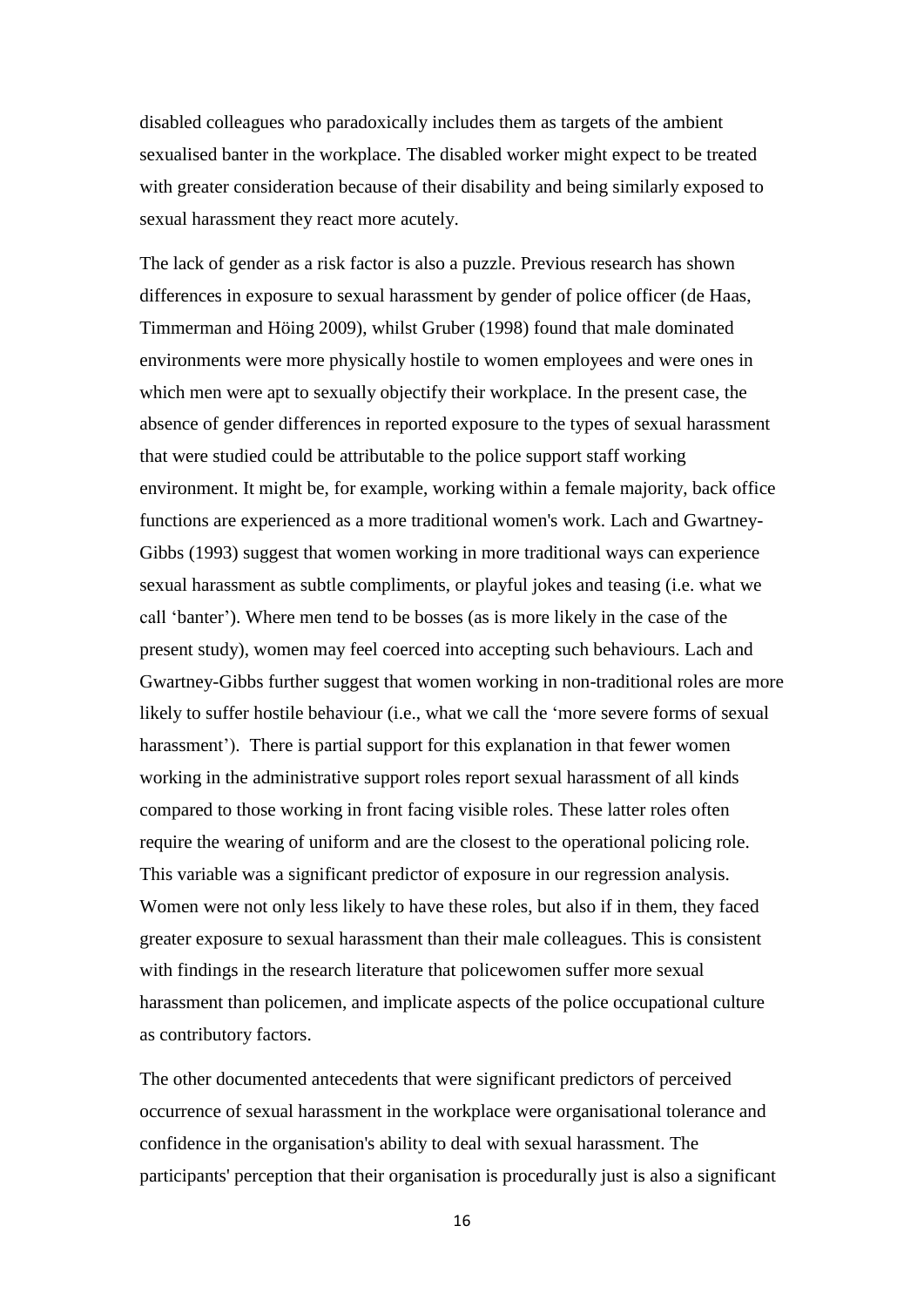disabled colleagues who paradoxically includes them as targets of the ambient sexualised banter in the workplace. The disabled worker might expect to be treated with greater consideration because of their disability and being similarly exposed to sexual harassment they react more acutely.

The lack of gender as a risk factor is also a puzzle. Previous research has shown differences in exposure to sexual harassment by gender of police officer (de Haas, Timmerman and Höing 2009), whilst Gruber (1998) found that male dominated environments were more physically hostile to women employees and were ones in which men were apt to sexually objectify their workplace. In the present case, the absence of gender differences in reported exposure to the types of sexual harassment that were studied could be attributable to the police support staff working environment. It might be, for example, working within a female majority, back office functions are experienced as a more traditional women's work. Lach and Gwartney-Gibbs (1993) suggest that women working in more traditional ways can experience sexual harassment as subtle compliments, or playful jokes and teasing (i.e. what we call 'banter'). Where men tend to be bosses (as is more likely in the case of the present study), women may feel coerced into accepting such behaviours. Lach and Gwartney-Gibbs further suggest that women working in non-traditional roles are more likely to suffer hostile behaviour (i.e., what we call the 'more severe forms of sexual harassment'). There is partial support for this explanation in that fewer women working in the administrative support roles report sexual harassment of all kinds compared to those working in front facing visible roles. These latter roles often require the wearing of uniform and are the closest to the operational policing role. This variable was a significant predictor of exposure in our regression analysis. Women were not only less likely to have these roles, but also if in them, they faced greater exposure to sexual harassment than their male colleagues. This is consistent with findings in the research literature that policewomen suffer more sexual harassment than policemen, and implicate aspects of the police occupational culture as contributory factors.

The other documented antecedents that were significant predictors of perceived occurrence of sexual harassment in the workplace were organisational tolerance and confidence in the organisation's ability to deal with sexual harassment. The participants' perception that their organisation is procedurally just is also a significant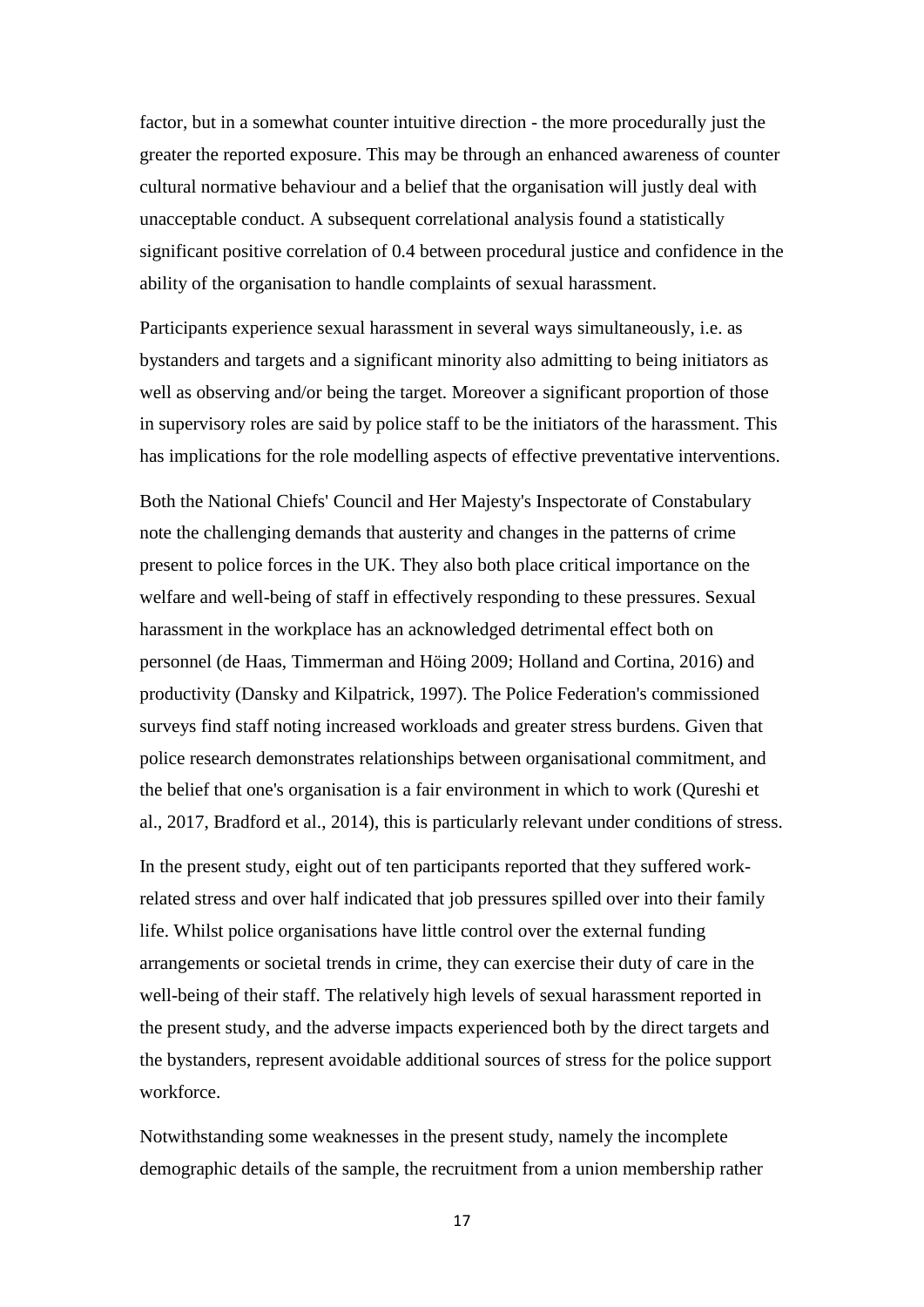factor, but in a somewhat counter intuitive direction - the more procedurally just the greater the reported exposure. This may be through an enhanced awareness of counter cultural normative behaviour and a belief that the organisation will justly deal with unacceptable conduct. A subsequent correlational analysis found a statistically significant positive correlation of 0.4 between procedural justice and confidence in the ability of the organisation to handle complaints of sexual harassment.

Participants experience sexual harassment in several ways simultaneously, i.e. as bystanders and targets and a significant minority also admitting to being initiators as well as observing and/or being the target. Moreover a significant proportion of those in supervisory roles are said by police staff to be the initiators of the harassment. This has implications for the role modelling aspects of effective preventative interventions.

Both the National Chiefs' Council and Her Majesty's Inspectorate of Constabulary note the challenging demands that austerity and changes in the patterns of crime present to police forces in the UK. They also both place critical importance on the welfare and well-being of staff in effectively responding to these pressures. Sexual harassment in the workplace has an acknowledged detrimental effect both on personnel (de Haas, Timmerman and Höing 2009; Holland and Cortina, 2016) and productivity (Dansky and Kilpatrick, 1997). The Police Federation's commissioned surveys find staff noting increased workloads and greater stress burdens. Given that police research demonstrates relationships between organisational commitment, and the belief that one's organisation is a fair environment in which to work (Qureshi et al., 2017, Bradford et al., 2014), this is particularly relevant under conditions of stress.

In the present study, eight out of ten participants reported that they suffered workrelated stress and over half indicated that job pressures spilled over into their family life. Whilst police organisations have little control over the external funding arrangements or societal trends in crime, they can exercise their duty of care in the well-being of their staff. The relatively high levels of sexual harassment reported in the present study, and the adverse impacts experienced both by the direct targets and the bystanders, represent avoidable additional sources of stress for the police support workforce.

Notwithstanding some weaknesses in the present study, namely the incomplete demographic details of the sample, the recruitment from a union membership rather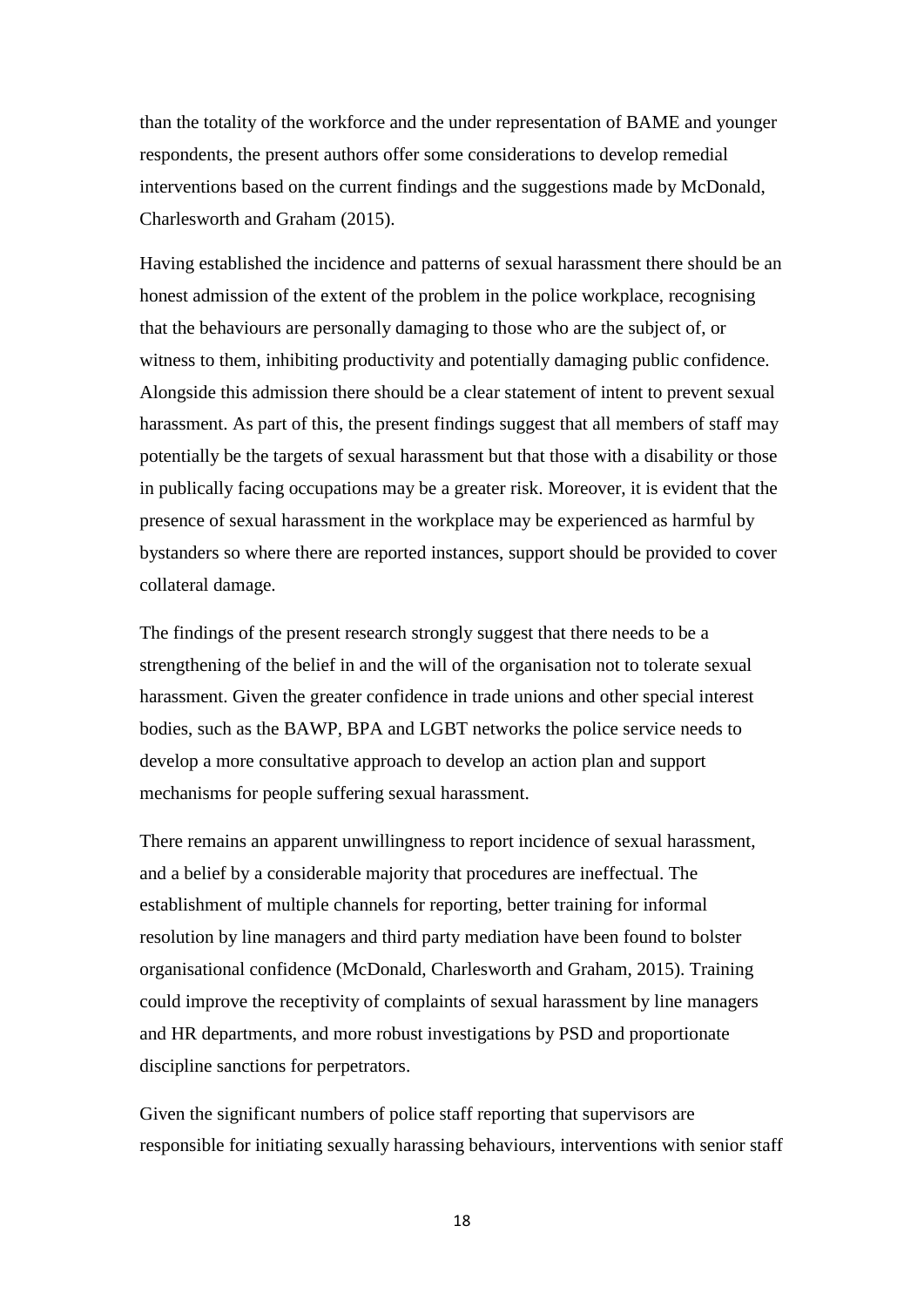than the totality of the workforce and the under representation of BAME and younger respondents, the present authors offer some considerations to develop remedial interventions based on the current findings and the suggestions made by McDonald, Charlesworth and Graham (2015).

Having established the incidence and patterns of sexual harassment there should be an honest admission of the extent of the problem in the police workplace, recognising that the behaviours are personally damaging to those who are the subject of, or witness to them, inhibiting productivity and potentially damaging public confidence. Alongside this admission there should be a clear statement of intent to prevent sexual harassment. As part of this, the present findings suggest that all members of staff may potentially be the targets of sexual harassment but that those with a disability or those in publically facing occupations may be a greater risk. Moreover, it is evident that the presence of sexual harassment in the workplace may be experienced as harmful by bystanders so where there are reported instances, support should be provided to cover collateral damage.

The findings of the present research strongly suggest that there needs to be a strengthening of the belief in and the will of the organisation not to tolerate sexual harassment. Given the greater confidence in trade unions and other special interest bodies, such as the BAWP, BPA and LGBT networks the police service needs to develop a more consultative approach to develop an action plan and support mechanisms for people suffering sexual harassment.

There remains an apparent unwillingness to report incidence of sexual harassment, and a belief by a considerable majority that procedures are ineffectual. The establishment of multiple channels for reporting, better training for informal resolution by line managers and third party mediation have been found to bolster organisational confidence (McDonald, Charlesworth and Graham, 2015). Training could improve the receptivity of complaints of sexual harassment by line managers and HR departments, and more robust investigations by PSD and proportionate discipline sanctions for perpetrators.

Given the significant numbers of police staff reporting that supervisors are responsible for initiating sexually harassing behaviours, interventions with senior staff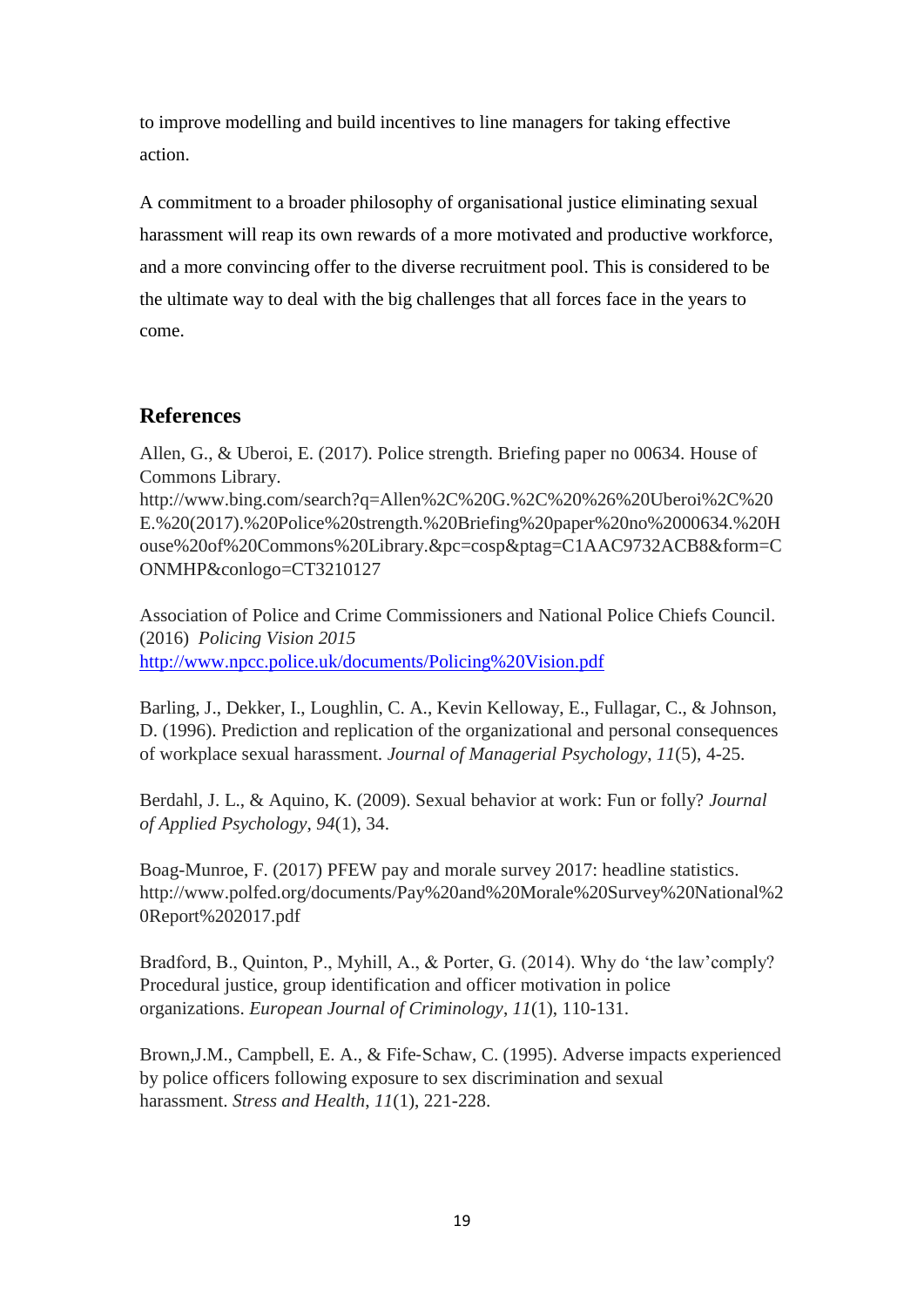to improve modelling and build incentives to line managers for taking effective action.

A commitment to a broader philosophy of organisational justice eliminating sexual harassment will reap its own rewards of a more motivated and productive workforce, and a more convincing offer to the diverse recruitment pool. This is considered to be the ultimate way to deal with the big challenges that all forces face in the years to come.

#### **References**

Allen, G., & Uberoi, E. (2017). Police strength. Briefing paper no 00634. House of Commons Library.

http://www.bing.com/search?q=Allen%2C%20G.%2C%20%26%20Uberoi%2C%20 E.%20(2017).%20Police%20strength.%20Briefing%20paper%20no%2000634.%20H ouse%20of%20Commons%20Library.&pc=cosp&ptag=C1AAC9732ACB8&form=C ONMHP&conlogo=CT3210127

Association of Police and Crime Commissioners and National Police Chiefs Council. (2016) *Policing Vision 2015* <http://www.npcc.police.uk/documents/Policing%20Vision.pdf>

Barling, J., Dekker, I., Loughlin, C. A., Kevin Kelloway, E., Fullagar, C., & Johnson, D. (1996). Prediction and replication of the organizational and personal consequences of workplace sexual harassment. *Journal of Managerial Psychology*, *11*(5), 4-25.

Berdahl, J. L., & Aquino, K. (2009). Sexual behavior at work: Fun or folly? *Journal of Applied Psychology*, *94*(1), 34.

Boag-Munroe, F. (2017) PFEW pay and morale survey 2017: headline statistics. http://www.polfed.org/documents/Pay%20and%20Morale%20Survey%20National%2 0Report%202017.pdf

Bradford, B., Quinton, P., Myhill, A., & Porter, G. (2014). Why do 'the law'comply? Procedural justice, group identification and officer motivation in police organizations. *European Journal of Criminology*, *11*(1), 110-131.

Brown,J.M., Campbell, E. A., & Fife‐Schaw, C. (1995). Adverse impacts experienced by police officers following exposure to sex discrimination and sexual harassment. *Stress and Health*, *11*(1), 221-228.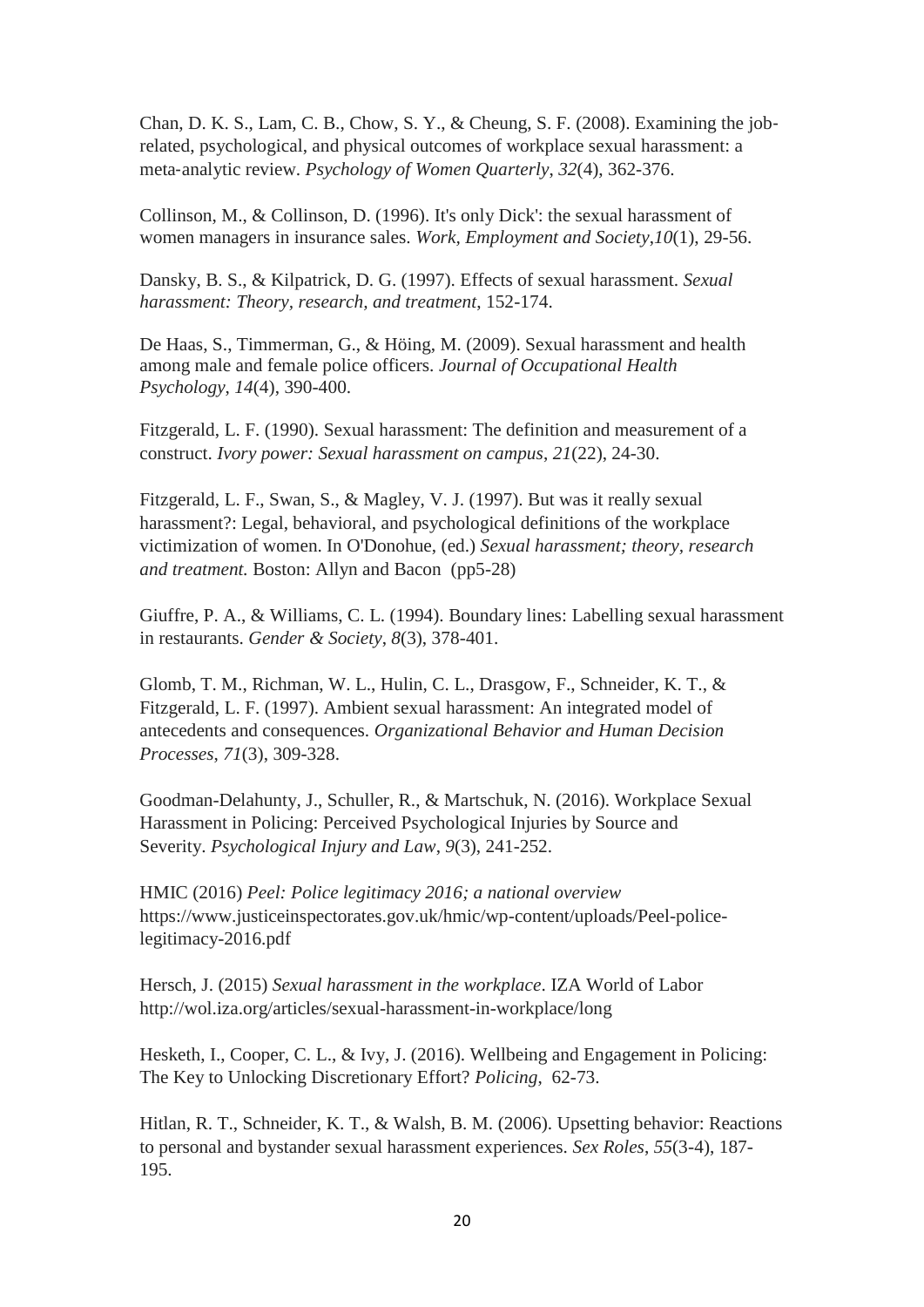Chan, D. K. S., Lam, C. B., Chow, S. Y., & Cheung, S. F. (2008). Examining the job‐ related, psychological, and physical outcomes of workplace sexual harassment: a meta‐analytic review. *Psychology of Women Quarterly*, *32*(4), 362-376.

Collinson, M., & Collinson, D. (1996). It's only Dick': the sexual harassment of women managers in insurance sales. *Work, Employment and Society*,*10*(1), 29-56.

Dansky, B. S., & Kilpatrick, D. G. (1997). Effects of sexual harassment. *Sexual harassment: Theory, research, and treatment*, 152-174.

De Haas, S., Timmerman, G., & Höing, M. (2009). Sexual harassment and health among male and female police officers. *Journal of Occupational Health Psychology*, *14*(4), 390-400.

Fitzgerald, L. F. (1990). Sexual harassment: The definition and measurement of a construct. *Ivory power: Sexual harassment on campus*, *21*(22), 24-30.

Fitzgerald, L. F., Swan, S., & Magley, V. J. (1997). But was it really sexual harassment?: Legal, behavioral, and psychological definitions of the workplace victimization of women. In O'Donohue, (ed.) *Sexual harassment; theory, research and treatment.* Boston: Allyn and Bacon (pp5-28)

Giuffre, P. A., & Williams, C. L. (1994). Boundary lines: Labelling sexual harassment in restaurants. *Gender & Society*, *8*(3), 378-401.

Glomb, T. M., Richman, W. L., Hulin, C. L., Drasgow, F., Schneider, K. T., & Fitzgerald, L. F. (1997). Ambient sexual harassment: An integrated model of antecedents and consequences. *Organizational Behavior and Human Decision Processes*, *71*(3), 309-328.

Goodman-Delahunty, J., Schuller, R., & Martschuk, N. (2016). Workplace Sexual Harassment in Policing: Perceived Psychological Injuries by Source and Severity. *Psychological Injury and Law*, *9*(3), 241-252.

HMIC (2016) *Peel: Police legitimacy 2016; a national overview* https://www.justiceinspectorates.gov.uk/hmic/wp-content/uploads/Peel-policelegitimacy-2016.pdf

Hersch, J. (2015) *Sexual harassment in the workplace*. IZA World of Labor http://wol.iza.org/articles/sexual-harassment-in-workplace/long

Hesketh, I., Cooper, C. L., & Ivy, J. (2016). Wellbeing and Engagement in Policing: The Key to Unlocking Discretionary Effort? *Policing*, 62-73.

Hitlan, R. T., Schneider, K. T., & Walsh, B. M. (2006). Upsetting behavior: Reactions to personal and bystander sexual harassment experiences. *Sex Roles*, *55*(3-4), 187- 195.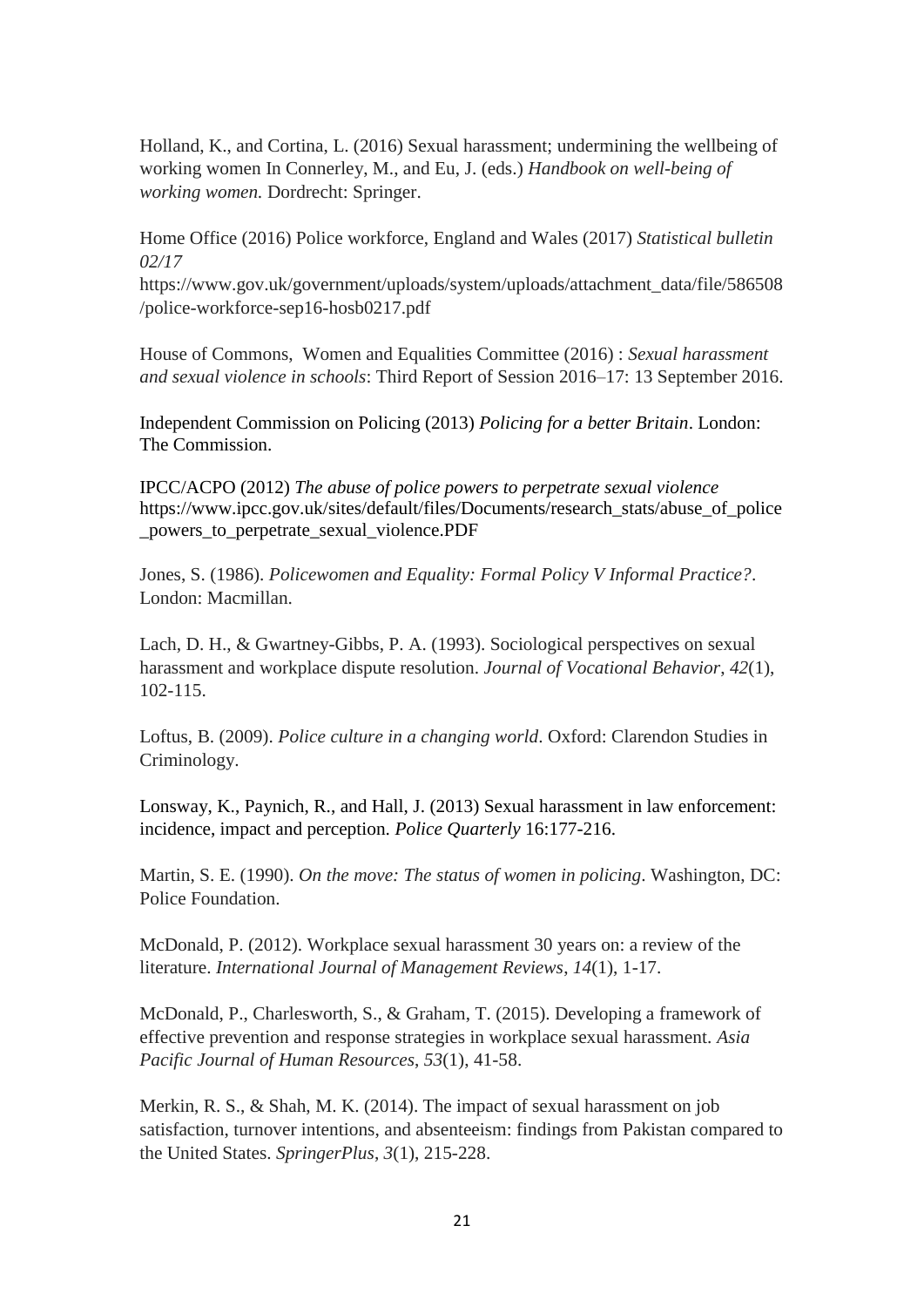Holland, K., and Cortina, L. (2016) Sexual harassment; undermining the wellbeing of working women In Connerley, M., and Eu, J. (eds.) *Handbook on well-being of working women.* Dordrecht: Springer.

Home Office (2016) Police workforce, England and Wales (2017) *Statistical bulletin 02/17*

https://www.gov.uk/government/uploads/system/uploads/attachment\_data/file/586508 /police-workforce-sep16-hosb0217.pdf

House of Commons, Women and Equalities Committee (2016) : *Sexual harassment and sexual violence in schools*: Third Report of Session 2016–17: 13 September 2016.

Independent Commission on Policing (2013) *Policing for a better Britain*. London: The Commission.

IPCC/ACPO (2012) *The abuse of police powers to perpetrate sexual violence* https://www.ipcc.gov.uk/sites/default/files/Documents/research\_stats/abuse\_of\_police \_powers\_to\_perpetrate\_sexual\_violence.PDF

Jones, S. (1986). *Policewomen and Equality: Formal Policy V Informal Practice?*. London: Macmillan.

Lach, D. H., & Gwartney-Gibbs, P. A. (1993). Sociological perspectives on sexual harassment and workplace dispute resolution. *Journal of Vocational Behavior*, *42*(1), 102-115.

Loftus, B. (2009). *Police culture in a changing world*. Oxford: Clarendon Studies in Criminology.

Lonsway, K., Paynich, R., and Hall, J. (2013) Sexual harassment in law enforcement: incidence, impact and perception. *Police Quarterly* 16:177-216.

Martin, S. E. (1990). *On the move: The status of women in policing*. Washington, DC: Police Foundation.

McDonald, P. (2012). Workplace sexual harassment 30 years on: a review of the literature. *International Journal of Management Reviews*, *14*(1), 1-17.

McDonald, P., Charlesworth, S., & Graham, T. (2015). Developing a framework of effective prevention and response strategies in workplace sexual harassment. *Asia Pacific Journal of Human Resources*, *53*(1), 41-58.

Merkin, R. S., & Shah, M. K. (2014). The impact of sexual harassment on job satisfaction, turnover intentions, and absenteeism: findings from Pakistan compared to the United States. *SpringerPlus*, *3*(1), 215-228.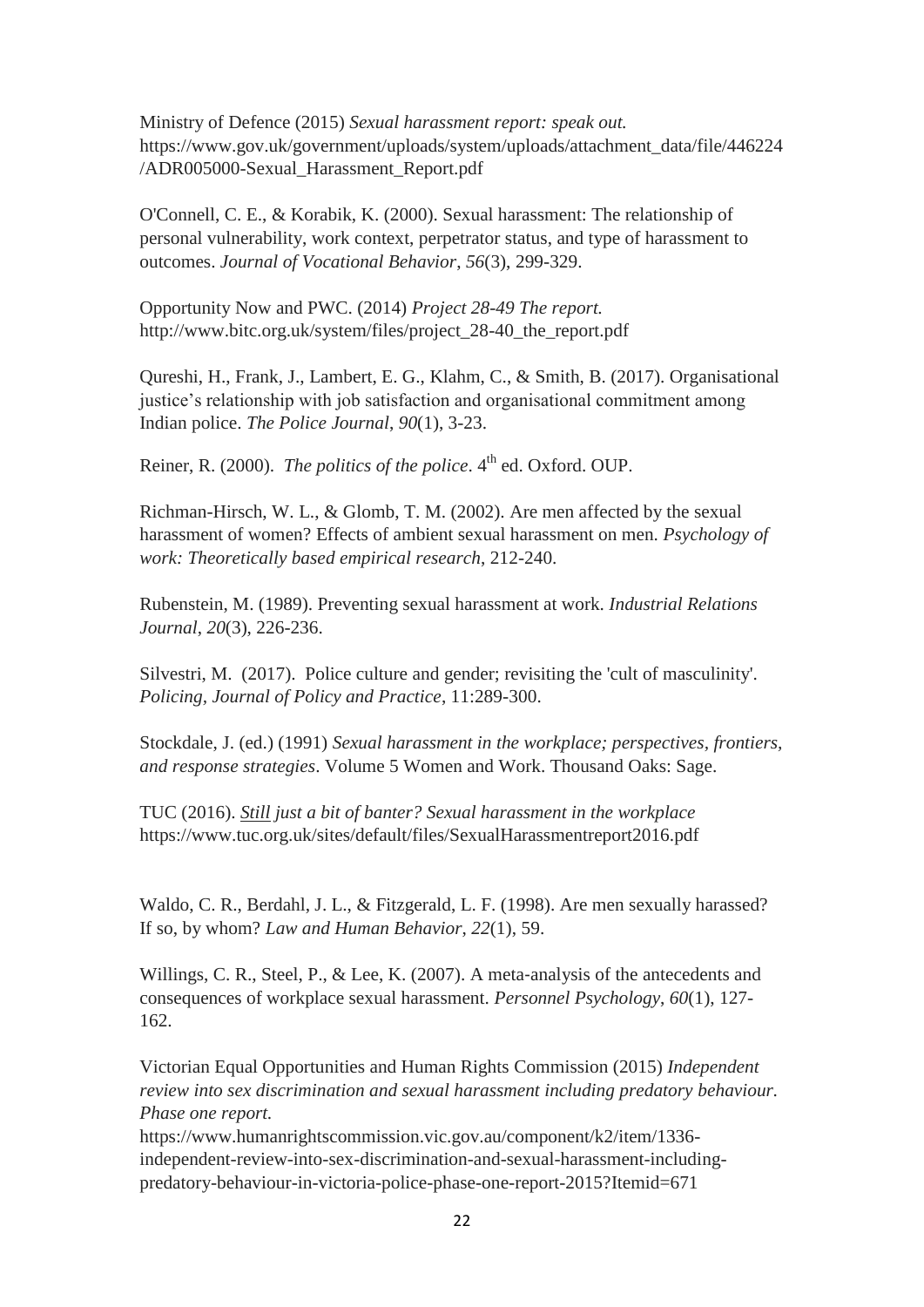Ministry of Defence (2015) *Sexual harassment report: speak out.*  https://www.gov.uk/government/uploads/system/uploads/attachment\_data/file/446224 /ADR005000-Sexual\_Harassment\_Report.pdf

O'Connell, C. E., & Korabik, K. (2000). Sexual harassment: The relationship of personal vulnerability, work context, perpetrator status, and type of harassment to outcomes. *Journal of Vocational Behavior*, *56*(3), 299-329.

Opportunity Now and PWC. (2014) *Project 28-49 The report.* http://www.bitc.org.uk/system/files/project\_28-40\_the\_report.pdf

Qureshi, H., Frank, J., Lambert, E. G., Klahm, C., & Smith, B. (2017). Organisational justice's relationship with job satisfaction and organisational commitment among Indian police. *The Police Journal*, *90*(1), 3-23.

Reiner, R. (2000). *The politics of the police*. 4<sup>th</sup> ed. Oxford. OUP.

Richman-Hirsch, W. L., & Glomb, T. M. (2002). Are men affected by the sexual harassment of women? Effects of ambient sexual harassment on men. *Psychology of work: Theoretically based empirical research*, 212-240.

Rubenstein, M. (1989). Preventing sexual harassment at work. *Industrial Relations Journal*, *20*(3), 226-236.

Silvestri, M. (2017). Police culture and gender; revisiting the 'cult of masculinity'. *Policing, Journal of Policy and Practice*, 11:289-300.

Stockdale, J. (ed.) (1991) *Sexual harassment in the workplace; perspectives, frontiers, and response strategies*. Volume 5 Women and Work. Thousand Oaks: Sage.

TUC (2016). *Still just a bit of banter? Sexual harassment in the workplace* https://www.tuc.org.uk/sites/default/files/SexualHarassmentreport2016.pdf

Waldo, C. R., Berdahl, J. L., & Fitzgerald, L. F. (1998). Are men sexually harassed? If so, by whom? *Law and Human Behavior*, *22*(1), 59.

Willings, C. R., Steel, P., & Lee, K. (2007). A meta-analysis of the antecedents and consequences of workplace sexual harassment. *Personnel Psychology*, *60*(1), 127- 162.

Victorian Equal Opportunities and Human Rights Commission (2015) *Independent review into sex discrimination and sexual harassment including predatory behaviour. Phase one report.*

https://www.humanrightscommission.vic.gov.au/component/k2/item/1336 independent-review-into-sex-discrimination-and-sexual-harassment-includingpredatory-behaviour-in-victoria-police-phase-one-report-2015?Itemid=671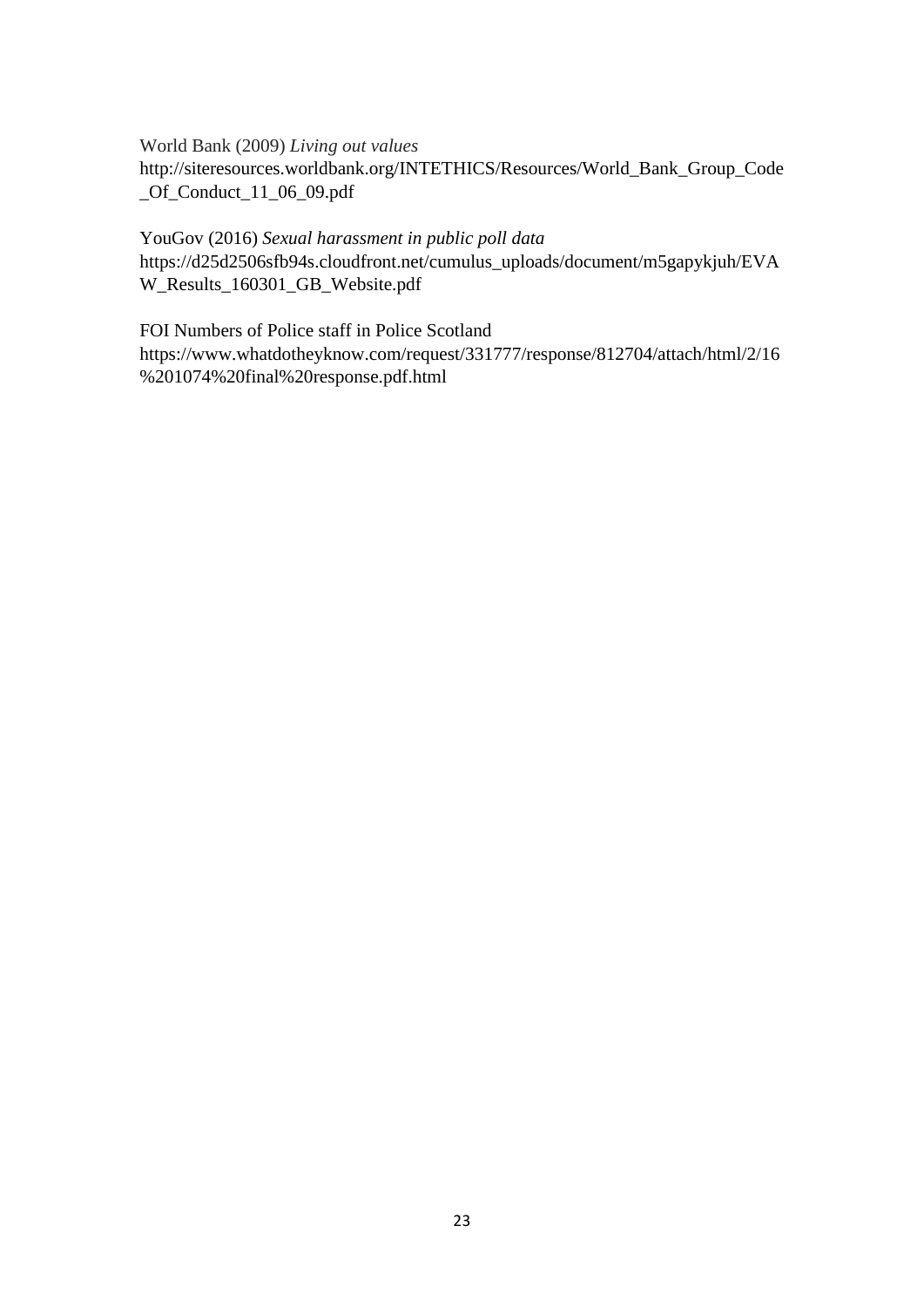World Bank (2009) *Living out values*

http://siteresources.worldbank.org/INTETHICS/Resources/World\_Bank\_Group\_Code \_Of\_Conduct\_11\_06\_09.pdf

YouGov (2016) *Sexual harassment in public poll data* https://d25d2506sfb94s.cloudfront.net/cumulus\_uploads/document/m5gapykjuh/EVA W\_Results\_160301\_GB\_Website.pdf

FOI Numbers of Police staff in Police Scotland https://www.whatdotheyknow.com/request/331777/response/812704/attach/html/2/16 %201074%20final%20response.pdf.html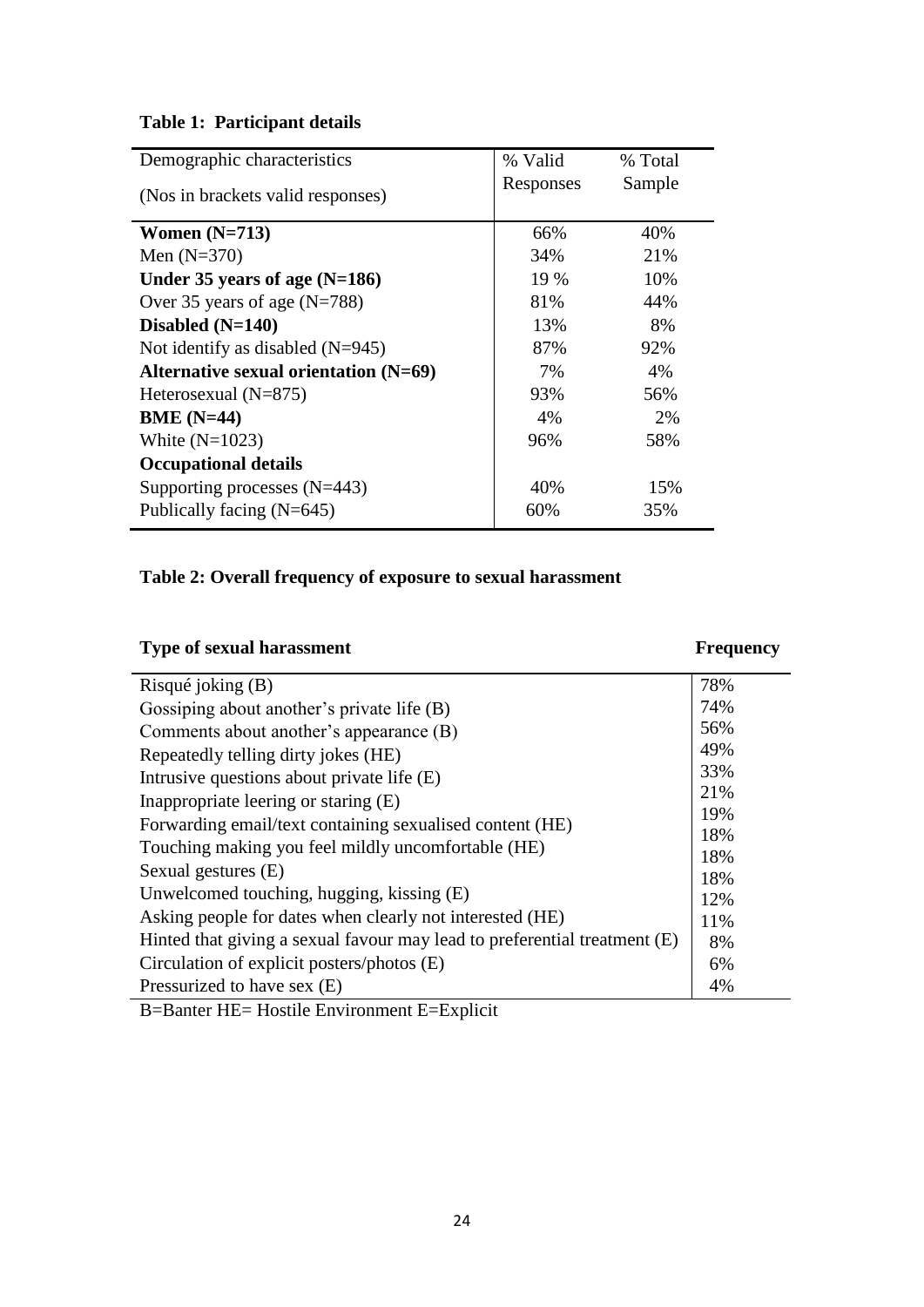# **Table 1: Participant details**

| Demographic characteristics             | % Valid   | % Total |
|-----------------------------------------|-----------|---------|
| (Nos in brackets valid responses)       | Responses | Sample  |
| Women $(N=713)$                         | 66%       | 40%     |
| Men $(N=370)$                           | 34%       | 21%     |
| Under 35 years of age $(N=186)$         | 19 %      | 10%     |
| Over 35 years of age $(N=788)$          | 81%       | 44%     |
| Disabled $(N=140)$                      | 13%       | 8%      |
| Not identify as disabled $(N=945)$      | 87%       | 92%     |
| Alternative sexual orientation $(N=69)$ | 7%        | 4%      |
| Heterosexual $(N=875)$                  | 93%       | 56%     |
| BME $(N=44)$                            | 4%        | 2%      |
| White $(N=1023)$                        | 96%       | 58%     |
| <b>Occupational details</b>             |           |         |
| Supporting processes $(N=443)$          | 40%       | 15%     |
| Publically facing (N=645)               | 60%       | 35%     |

# **Table 2: Overall frequency of exposure to sexual harassment**

# **Type of sexual harassment Frequency**

| Risqué joking (B)                                                         | 78% |
|---------------------------------------------------------------------------|-----|
| Gossiping about another's private life (B)                                | 74% |
| Comments about another's appearance (B)                                   | 56% |
| Repeatedly telling dirty jokes (HE)                                       | 49% |
| Intrusive questions about private life (E)                                | 33% |
| Inappropriate leering or staring (E)                                      | 21% |
| Forwarding email/text containing sexualised content (HE)                  | 19% |
| Touching making you feel mildly uncomfortable (HE)                        | 18% |
|                                                                           | 18% |
| Sexual gestures (E)                                                       | 18% |
| Unwelcomed touching, hugging, kissing (E)                                 | 12% |
| Asking people for dates when clearly not interested (HE)                  | 11% |
| Hinted that giving a sexual favour may lead to preferential treatment (E) | 8%  |
| Circulation of explicit posters/photos (E)                                | 6%  |
| Pressurized to have sex (E)                                               | 4%  |
|                                                                           |     |

B=Banter HE= Hostile Environment E=Explicit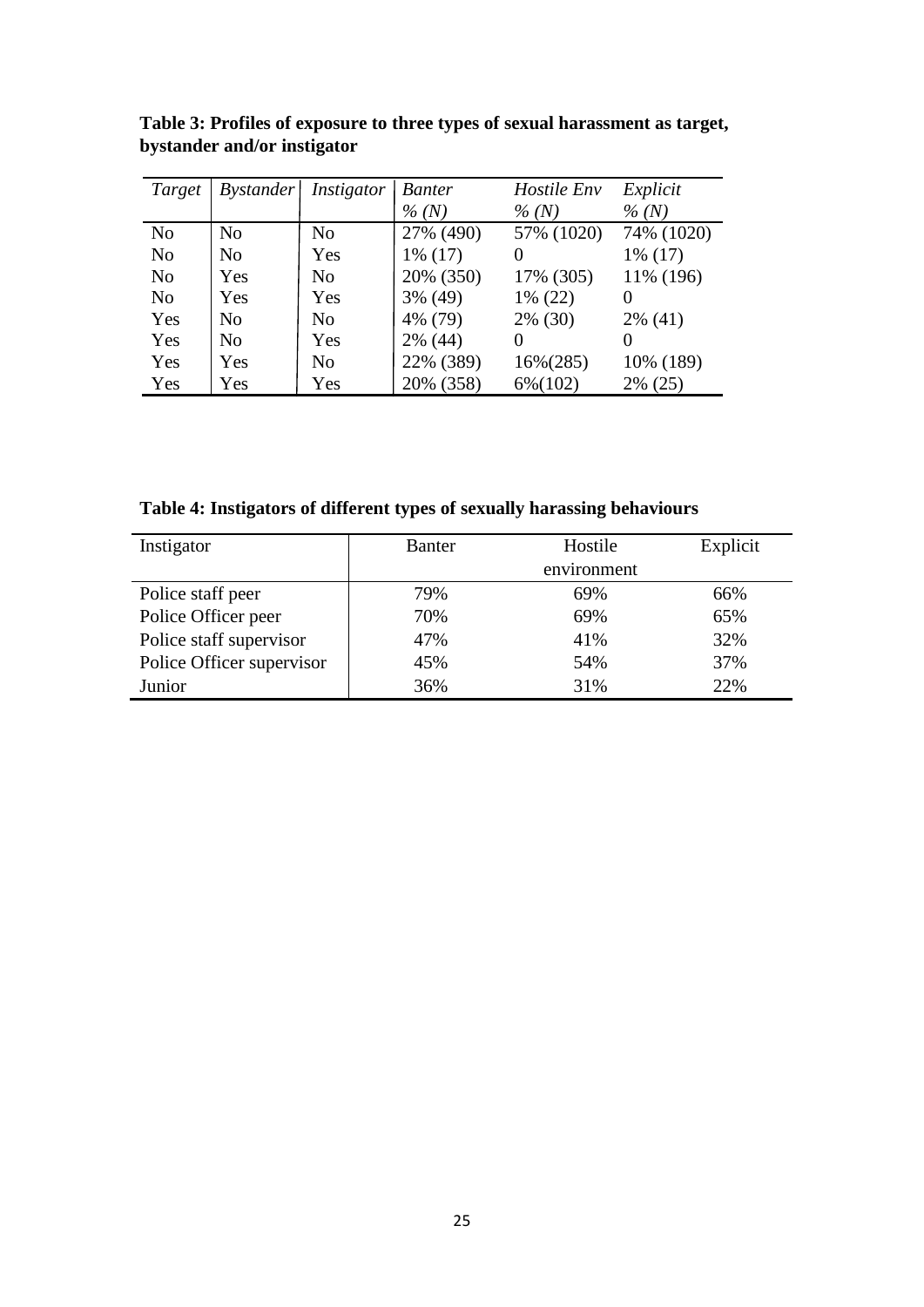| Target         | <i>Bystander</i> | Instigator     | <b>Banter</b> | Hostile Env         | Explicit   |
|----------------|------------------|----------------|---------------|---------------------|------------|
|                |                  |                | $\%$ (N)      | $\%$ (N)            | $\%$ (N)   |
| N <sub>o</sub> | N <sub>o</sub>   | N <sub>0</sub> | 27% (490)     | 57% (1020)          | 74% (1020) |
| N <sub>o</sub> | N <sub>o</sub>   | Yes            | $1\%$ (17)    | 0                   | $1\%$ (17) |
| N <sub>o</sub> | Yes              | N <sub>0</sub> | 20% (350)     | 17% (305)           | 11% (196)  |
| N <sub>o</sub> | Yes              | Yes            | 3% (49)       | $1\% (22)$          | 0          |
| Yes            | N <sub>o</sub>   | N <sub>o</sub> | 4% (79)       | 2% (30)             | $2\%$ (41) |
| Yes            | N <sub>0</sub>   | Yes            | 2% (44)       | $\Omega$            | 0          |
| Yes            | Yes              | N <sub>o</sub> | 22% (389)     | $16\% (285)$        | 10% (189)  |
| Yes            | Yes              | Yes            | 20% (358)     | $6\frac{6(102)}{2}$ | $2\%$ (25) |

**Table 3: Profiles of exposure to three types of sexual harassment as target, bystander and/or instigator**

**Table 4: Instigators of different types of sexually harassing behaviours**

| Instigator                | Banter | Hostile     | Explicit |
|---------------------------|--------|-------------|----------|
|                           |        | environment |          |
| Police staff peer         | 79%    | 69%         | 66%      |
| Police Officer peer       | 70%    | 69%         | 65%      |
| Police staff supervisor   | 47%    | 41%         | 32%      |
| Police Officer supervisor | 45%    | 54%         | 37%      |
| Junior                    | 36%    | 31%         | 22%      |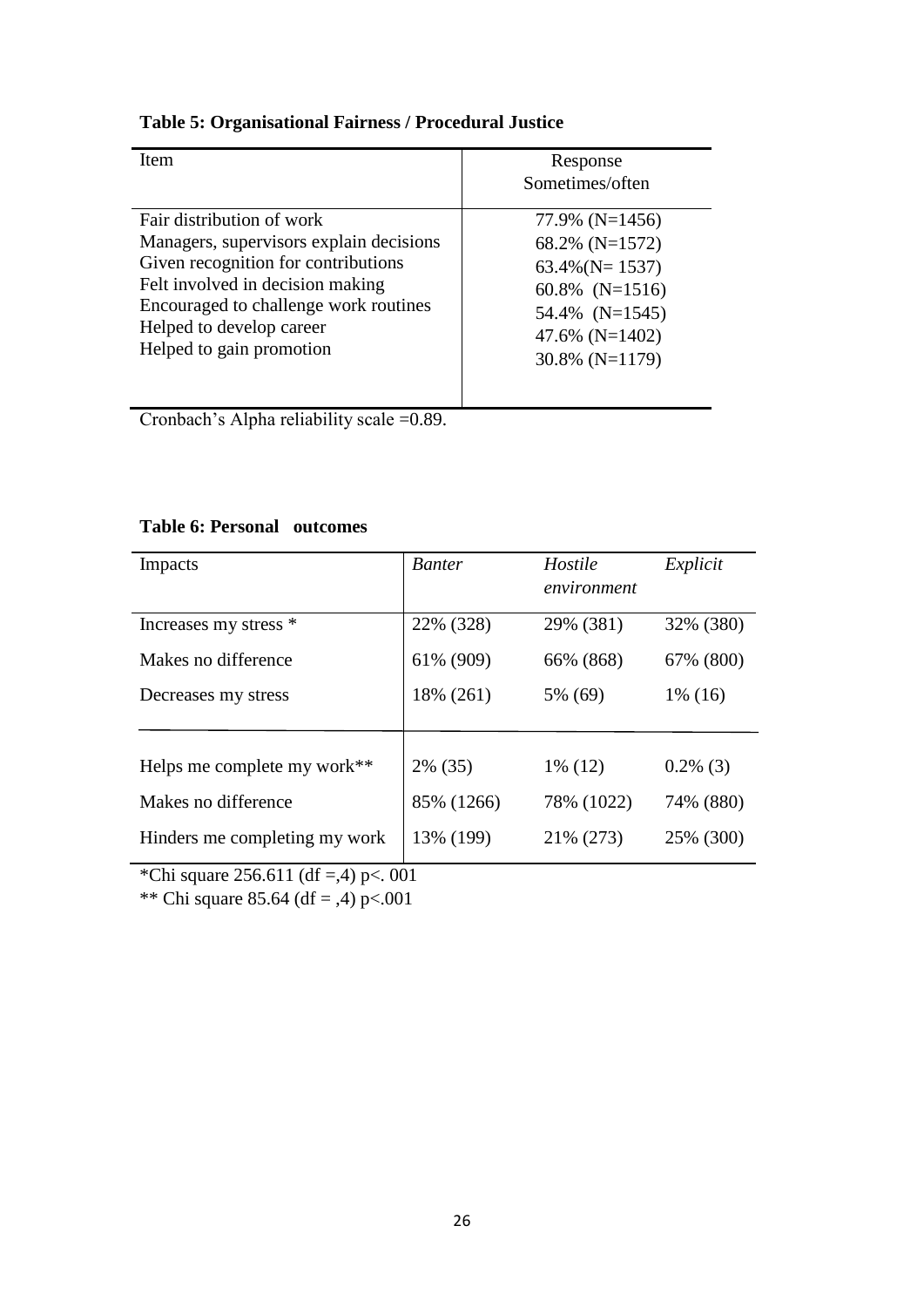# **Table 5: Organisational Fairness / Procedural Justice**

| <b>Item</b>                             | Response<br>Sometimes/often |
|-----------------------------------------|-----------------------------|
| Fair distribution of work               | $77.9\%$ (N=1456)           |
| Managers, supervisors explain decisions | 68.2% (N=1572)              |
| Given recognition for contributions     | $63.4\%$ (N= 1537)          |
| Felt involved in decision making        | 60.8% (N=1516)              |
| Encouraged to challenge work routines   | 54.4% (N=1545)              |
| Helped to develop career                | 47.6% (N=1402)              |
| Helped to gain promotion                | 30.8% (N=1179)              |

Cronbach's Alpha reliability scale =0.89.

## **Table 6: Personal outcomes**

| Impacts                       | <b>Banter</b> | Hostile<br>environment | Explicit    |
|-------------------------------|---------------|------------------------|-------------|
| Increases my stress *         | 22% (328)     | 29% (381)              | 32% (380)   |
| Makes no difference           | 61% (909)     | 66% (868)              | 67% (800)   |
| Decreases my stress           | 18% (261)     | 5% (69)                | $1\%$ (16)  |
| Helps me complete my work**   | 2% (35)       | $1\%$ (12)             | $0.2\%$ (3) |
| Makes no difference           | 85% (1266)    | 78% (1022)             | 74% (880)   |
| Hinders me completing my work | 13% (199)     | 21% (273)              | 25% (300)   |

\*Chi square 256.611 (df =,4) p<. 001

\*\* Chi square 85.64 (df = ,4) p<.001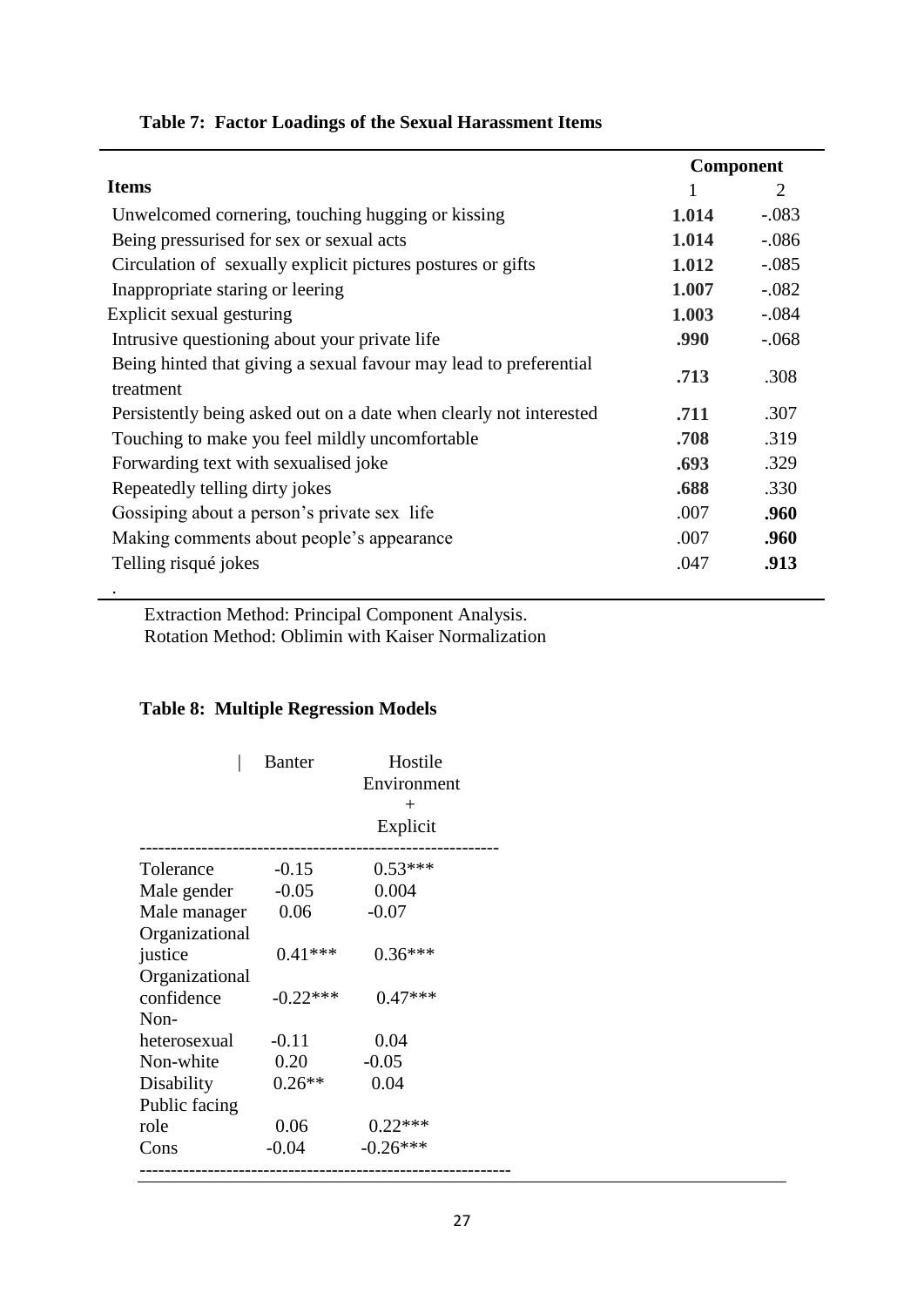|                                                                    |       | Component |
|--------------------------------------------------------------------|-------|-----------|
| <b>Items</b>                                                       | 1     | 2         |
| Unwelcomed cornering, touching hugging or kissing                  | 1.014 | $-.083$   |
| Being pressurised for sex or sexual acts                           | 1.014 | $-.086$   |
| Circulation of sexually explicit pictures postures or gifts        | 1.012 | $-.085$   |
| Inappropriate staring or leering                                   | 1.007 | $-.082$   |
| Explicit sexual gesturing                                          | 1.003 | $-.084$   |
| Intrusive questioning about your private life                      | .990  | $-.068$   |
| Being hinted that giving a sexual favour may lead to preferential  | .713  | .308      |
| treatment                                                          |       |           |
| Persistently being asked out on a date when clearly not interested | .711  | .307      |
| Touching to make you feel mildly uncomfortable                     | .708  | .319      |
| Forwarding text with sexualised joke                               | .693  | .329      |
| Repeatedly telling dirty jokes                                     | .688  | .330      |
| Gossiping about a person's private sex life                        | .007  | .960      |
| Making comments about people's appearance                          | .007  | .960      |
| Telling risqué jokes                                               | .047  | .913      |
|                                                                    |       |           |

Extraction Method: Principal Component Analysis. Rotation Method: Oblimin with Kaiser Normalization

# **Table 8: Multiple Regression Models**

|                | <b>Banter</b> | Hostile<br>Environment<br>$^{+}$ |
|----------------|---------------|----------------------------------|
|                |               | Explicit                         |
| Tolerance      | $-0.15$       | $0.53***$                        |
| Male gender    | $-0.05$       | 0.004                            |
| Male manager   | 0.06          | $-0.07$                          |
| Organizational |               |                                  |
| justice        | $0.41***$     | $0.36***$                        |
| Organizational |               |                                  |
| confidence     | $-0.22***$    | $0.47***$                        |
| Non-           |               |                                  |
| heterosexual   | $-0.11$       | 0.04                             |
| Non-white      | 0.20          | $-0.05$                          |
| Disability     | $0.26**$      | 0.04                             |
| Public facing  |               |                                  |
| role           | 0.06          | $0.22***$                        |
| Cons           | $-0.04$       | $-0.26***$                       |
|                |               |                                  |